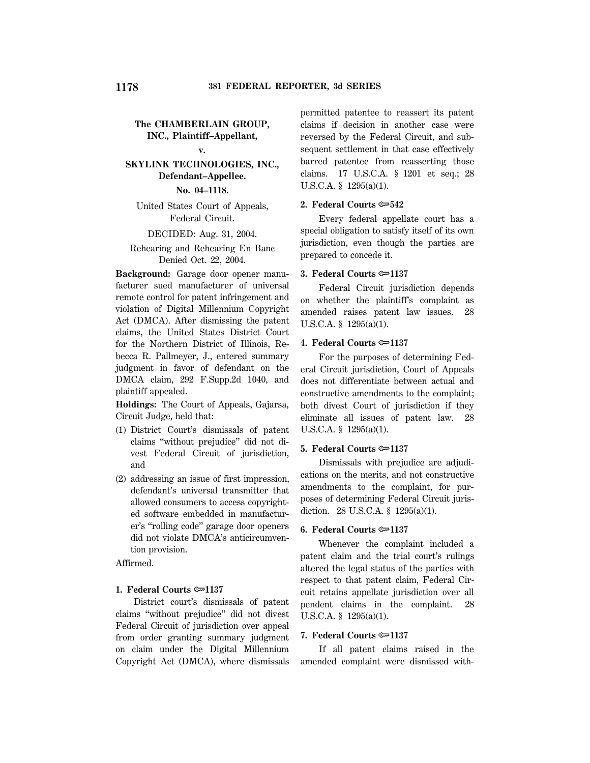# **The CHAMBERLAIN GROUP, INC., Plaintiff–Appellant,**

## **v.**

# **SKYLINK TECHNOLOGIES, INC., Defendant–Appellee.**

## **No. 04–1118.**

United States Court of Appeals, Federal Circuit.

#### DECIDED: Aug. 31, 2004.

# Rehearing and Rehearing En Banc Denied Oct. 22, 2004.

**Background:** Garage door opener manufacturer sued manufacturer of universal remote control for patent infringement and violation of Digital Millennium Copyright Act (DMCA). After dismissing the patent claims, the United States District Court for the Northern District of Illinois, Rebecca R. Pallmeyer, J., entered summary judgment in favor of defendant on the DMCA claim, 292 F.Supp.2d 1040, and plaintiff appealed.

**Holdings:** The Court of Appeals, Gajarsa, Circuit Judge, held that:

- (1) District Court's dismissals of patent claims ''without prejudice'' did not divest Federal Circuit of jurisdiction, and
- (2) addressing an issue of first impression, defendant's universal transmitter that allowed consumers to access copyrighted software embedded in manufacturer's ''rolling code'' garage door openers did not violate DMCA's anticircumvention provision.

Affirmed.

## **1. Federal Courts**  $\approx 1137$

District court's dismissals of patent claims ''without prejudice'' did not divest Federal Circuit of jurisdiction over appeal from order granting summary judgment on claim under the Digital Millennium Copyright Act (DMCA), where dismissals permitted patentee to reassert its patent claims if decision in another case were reversed by the Federal Circuit, and subsequent settlement in that case effectively barred patentee from reasserting those claims. 17 U.S.C.A. § 1201 et seq.; 28 U.S.C.A. § 1295(a)(1).

### **2. Federal Courts**  $\approx 542$

Every federal appellate court has a special obligation to satisfy itself of its own jurisdiction, even though the parties are prepared to concede it.

### **3. Federal Courts**  $\approx 1137$

Federal Circuit jurisdiction depends on whether the plaintiff's complaint as amended raises patent law issues. 28 U.S.C.A. § 1295(a)(1).

### **4. Federal Courts**  $\approx 1137$

For the purposes of determining Federal Circuit jurisdiction, Court of Appeals does not differentiate between actual and constructive amendments to the complaint; both divest Court of jurisdiction if they eliminate all issues of patent law. 28 U.S.C.A. § 1295(a)(1).

### **5. Federal Courts**  $\approx 1137$

Dismissals with prejudice are adjudications on the merits, and not constructive amendments to the complaint, for purposes of determining Federal Circuit jurisdiction. 28 U.S.C.A. § 1295(a)(1).

# **6. Federal Courts** O**1137**

Whenever the complaint included a patent claim and the trial court's rulings altered the legal status of the parties with respect to that patent claim, Federal Circuit retains appellate jurisdiction over all pendent claims in the complaint. 28 U.S.C.A. § 1295(a)(1).

## **7. Federal Courts ©**1137

If all patent claims raised in the amended complaint were dismissed with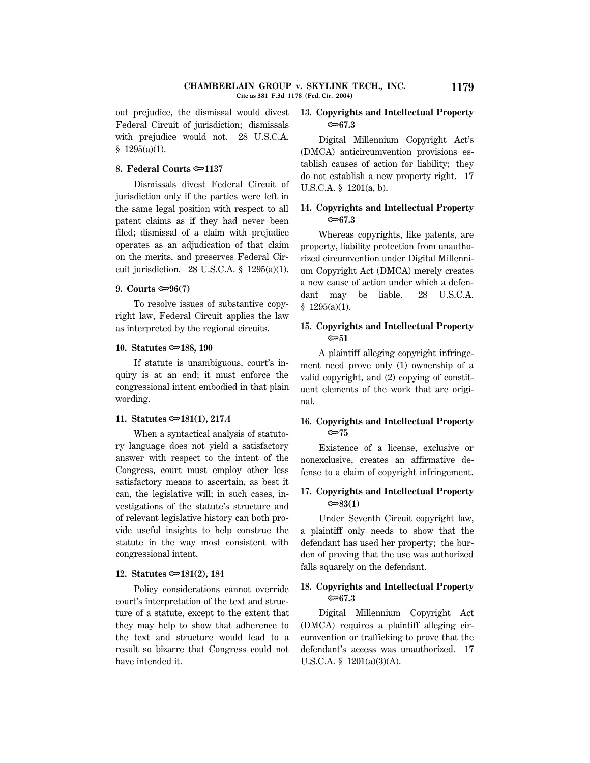out prejudice, the dismissal would divest Federal Circuit of jurisdiction; dismissals with prejudice would not. 28 U.S.C.A.  $$1295(a)(1).$ 

## **8. Federal Courts ©**1137

Dismissals divest Federal Circuit of jurisdiction only if the parties were left in the same legal position with respect to all patent claims as if they had never been filed; dismissal of a claim with prejudice operates as an adjudication of that claim on the merits, and preserves Federal Circuit jurisdiction. 28 U.S.C.A. § 1295(a)(1).

#### **9. Courts**  $\infty$ **96(7)**

To resolve issues of substantive copyright law, Federal Circuit applies the law as interpreted by the regional circuits.

### **10. Statutes**  $\approx$  **188, 190**

If statute is unambiguous, court's inquiry is at an end; it must enforce the congressional intent embodied in that plain wording.

### **11. Statutes ⊗**181(1), 217.4

When a syntactical analysis of statutory language does not yield a satisfactory answer with respect to the intent of the Congress, court must employ other less satisfactory means to ascertain, as best it can, the legislative will; in such cases, investigations of the statute's structure and of relevant legislative history can both provide useful insights to help construe the statute in the way most consistent with congressional intent.

#### **12. Statutes**  $\approx 181(2)$ **, 184**

Policy considerations cannot override court's interpretation of the text and structure of a statute, except to the extent that they may help to show that adherence to the text and structure would lead to a result so bizarre that Congress could not have intended it.

## **13. Copyrights and Intellectual Property** O**67.3**

Digital Millennium Copyright Act's (DMCA) anticircumvention provisions establish causes of action for liability; they do not establish a new property right. 17 U.S.C.A. § 1201(a, b).

## **14. Copyrights and Intellectual Property** O**67.3**

Whereas copyrights, like patents, are property, liability protection from unauthorized circumvention under Digital Millennium Copyright Act (DMCA) merely creates a new cause of action under which a defendant may be liable. 28 U.S.C.A.  $$1295(a)(1).$ 

## **15. Copyrights and Intellectual Property** O**51**

A plaintiff alleging copyright infringement need prove only (1) ownership of a valid copyright, and (2) copying of constituent elements of the work that are original.

## **16. Copyrights and Intellectual Property** O**75**

Existence of a license, exclusive or nonexclusive, creates an affirmative defense to a claim of copyright infringement.

## **17. Copyrights and Intellectual Property** O**83(1)**

Under Seventh Circuit copyright law, a plaintiff only needs to show that the defendant has used her property; the burden of proving that the use was authorized falls squarely on the defendant.

## **18. Copyrights and Intellectual Property** O**67.3**

Digital Millennium Copyright Act (DMCA) requires a plaintiff alleging circumvention or trafficking to prove that the defendant's access was unauthorized. 17 U.S.C.A. § 1201(a)(3)(A).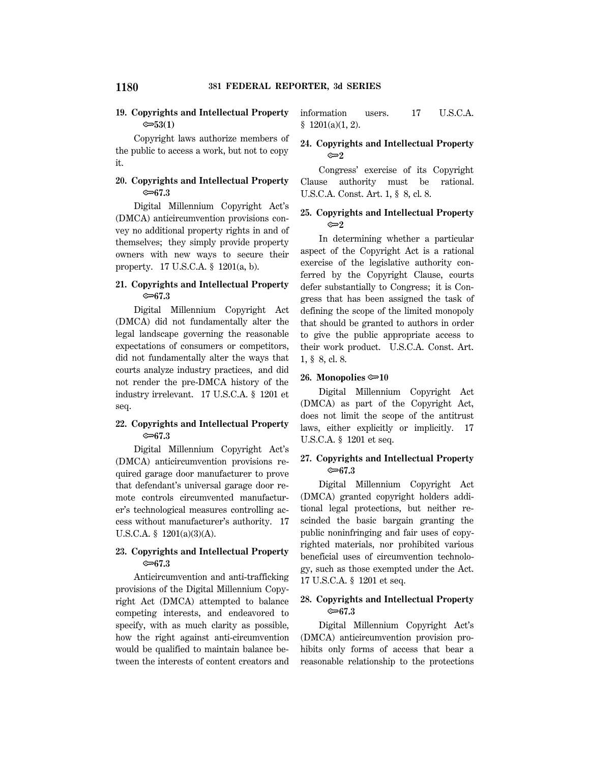# **19. Copyrights and Intellectual Property** O**53(1)**

Copyright laws authorize members of the public to access a work, but not to copy it.

# **20. Copyrights and Intellectual Property** O**67.3**

Digital Millennium Copyright Act's (DMCA) anticircumvention provisions convey no additional property rights in and of themselves; they simply provide property owners with new ways to secure their property. 17 U.S.C.A. § 1201(a, b).

# **21. Copyrights and Intellectual Property** O**67.3**

Digital Millennium Copyright Act (DMCA) did not fundamentally alter the legal landscape governing the reasonable expectations of consumers or competitors, did not fundamentally alter the ways that courts analyze industry practices, and did not render the pre-DMCA history of the industry irrelevant. 17 U.S.C.A. § 1201 et seq.

## **22. Copyrights and Intellectual Property** O**67.3**

Digital Millennium Copyright Act's (DMCA) anticircumvention provisions required garage door manufacturer to prove that defendant's universal garage door remote controls circumvented manufacturer's technological measures controlling access without manufacturer's authority. 17 U.S.C.A. § 1201(a)(3)(A).

# **23. Copyrights and Intellectual Property** O**67.3**

Anticircumvention and anti-trafficking provisions of the Digital Millennium Copyright Act (DMCA) attempted to balance competing interests, and endeavored to specify, with as much clarity as possible, how the right against anti-circumvention would be qualified to maintain balance between the interests of content creators and information users. 17 U.S.C.A.  $$1201(a)(1, 2).$ 

## **24. Copyrights and Intellectual Property** O**2**

Congress' exercise of its Copyright Clause authority must be rational. U.S.C.A. Const. Art. 1, § 8, cl. 8.

# **25. Copyrights and Intellectual Property** O**2**

In determining whether a particular aspect of the Copyright Act is a rational exercise of the legislative authority conferred by the Copyright Clause, courts defer substantially to Congress; it is Congress that has been assigned the task of defining the scope of the limited monopoly that should be granted to authors in order to give the public appropriate access to their work product. U.S.C.A. Const. Art. 1, § 8, cl. 8.

### **26. Monopolies**  $\approx 10$

Digital Millennium Copyright Act (DMCA) as part of the Copyright Act, does not limit the scope of the antitrust laws, either explicitly or implicitly. 17 U.S.C.A. § 1201 et seq.

## **27. Copyrights and Intellectual Property** O**67.3**

Digital Millennium Copyright Act (DMCA) granted copyright holders additional legal protections, but neither rescinded the basic bargain granting the public noninfringing and fair uses of copyrighted materials, nor prohibited various beneficial uses of circumvention technology, such as those exempted under the Act. 17 U.S.C.A. § 1201 et seq.

# **28. Copyrights and Intellectual Property** O**67.3**

Digital Millennium Copyright Act's (DMCA) anticircumvention provision prohibits only forms of access that bear a reasonable relationship to the protections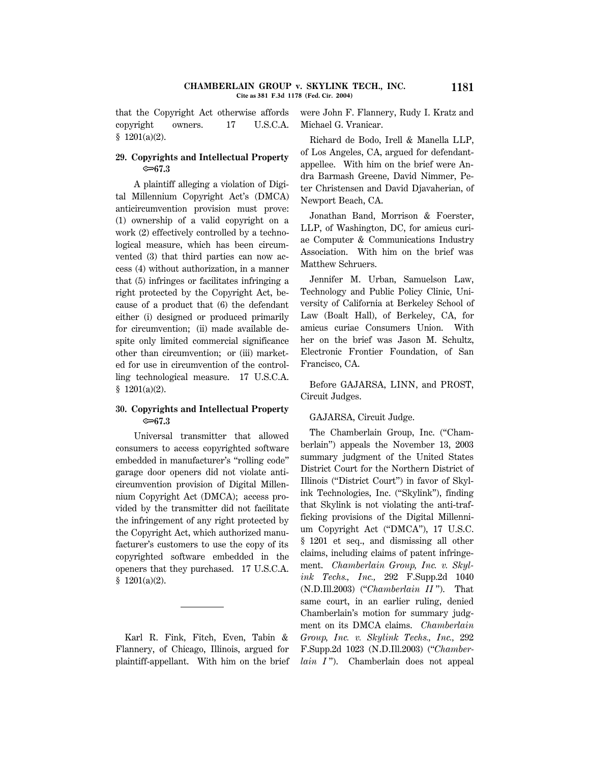that the Copyright Act otherwise affords copyright owners. 17 U.S.C.A. § 1201(a)(2).

# **29. Copyrights and Intellectual Property** O**67.3**

A plaintiff alleging a violation of Digital Millennium Copyright Act's (DMCA) anticircumvention provision must prove: (1) ownership of a valid copyright on a work (2) effectively controlled by a technological measure, which has been circumvented (3) that third parties can now access (4) without authorization, in a manner that (5) infringes or facilitates infringing a right protected by the Copyright Act, because of a product that (6) the defendant either (i) designed or produced primarily for circumvention; (ii) made available despite only limited commercial significance other than circumvention; or (iii) marketed for use in circumvention of the controlling technological measure. 17 U.S.C.A.  $$1201(a)(2).$ 

## **30. Copyrights and Intellectual Property** O**67.3**

Universal transmitter that allowed consumers to access copyrighted software embedded in manufacturer's ''rolling code'' garage door openers did not violate anticircumvention provision of Digital Millennium Copyright Act (DMCA); access provided by the transmitter did not facilitate the infringement of any right protected by the Copyright Act, which authorized manufacturer's customers to use the copy of its copyrighted software embedded in the openers that they purchased. 17 U.S.C.A.  $$1201(a)(2).$ 

Karl R. Fink, Fitch, Even, Tabin & Flannery, of Chicago, Illinois, argued for plaintiff-appellant. With him on the brief were John F. Flannery, Rudy I. Kratz and Michael G. Vranicar.

Richard de Bodo, Irell & Manella LLP, of Los Angeles, CA, argued for defendantappellee. With him on the brief were Andra Barmash Greene, David Nimmer, Peter Christensen and David Djavaherian, of Newport Beach, CA.

Jonathan Band, Morrison & Foerster, LLP, of Washington, DC, for amicus curiae Computer & Communications Industry Association. With him on the brief was Matthew Schruers.

Jennifer M. Urban, Samuelson Law, Technology and Public Policy Clinic, University of California at Berkeley School of Law (Boalt Hall), of Berkeley, CA, for amicus curiae Consumers Union. With her on the brief was Jason M. Schultz, Electronic Frontier Foundation, of San Francisco, CA.

Before GAJARSA, LINN, and PROST, Circuit Judges.

## GAJARSA, Circuit Judge.

The Chamberlain Group, Inc. ("Chamberlain'') appeals the November 13, 2003 summary judgment of the United States District Court for the Northern District of Illinois (''District Court'') in favor of Skylink Technologies, Inc. (''Skylink''), finding that Skylink is not violating the anti-trafficking provisions of the Digital Millennium Copyright Act (''DMCA''), 17 U.S.C. § 1201 et seq., and dismissing all other claims, including claims of patent infringement. *Chamberlain Group, Inc. v. Skylink Techs., Inc.,* 292 F.Supp.2d 1040 (N.D.Ill.2003) (''*Chamberlain II* ''). That same court, in an earlier ruling, denied Chamberlain's motion for summary judgment on its DMCA claims. *Chamberlain Group, Inc. v. Skylink Techs., Inc.,* 292 F.Supp.2d 1023 (N.D.Ill.2003) (''*Chamberlain I*"). Chamberlain does not appeal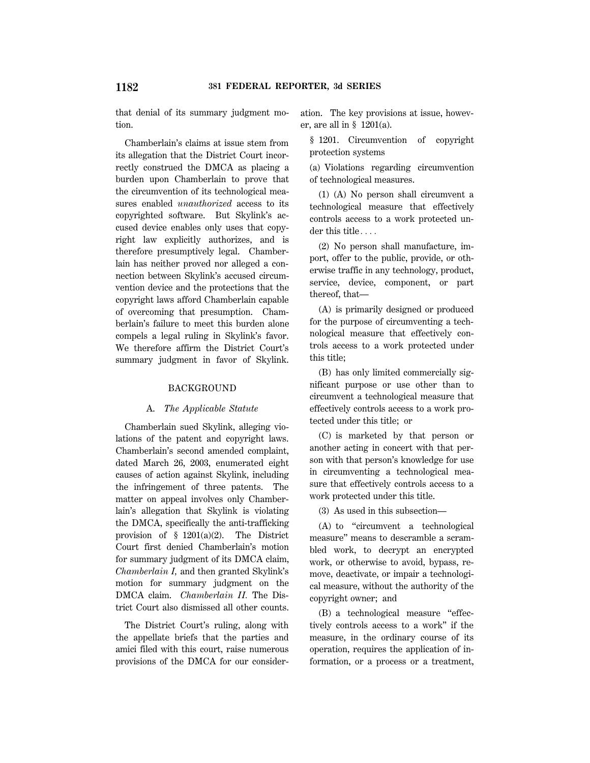that denial of its summary judgment motion.

Chamberlain's claims at issue stem from its allegation that the District Court incorrectly construed the DMCA as placing a burden upon Chamberlain to prove that the circumvention of its technological measures enabled *unauthorized* access to its copyrighted software. But Skylink's accused device enables only uses that copyright law explicitly authorizes, and is therefore presumptively legal. Chamberlain has neither proved nor alleged a connection between Skylink's accused circumvention device and the protections that the copyright laws afford Chamberlain capable of overcoming that presumption. Chamberlain's failure to meet this burden alone compels a legal ruling in Skylink's favor. We therefore affirm the District Court's summary judgment in favor of Skylink.

## BACKGROUND

### A. *The Applicable Statute*

Chamberlain sued Skylink, alleging violations of the patent and copyright laws. Chamberlain's second amended complaint, dated March 26, 2003, enumerated eight causes of action against Skylink, including the infringement of three patents. The matter on appeal involves only Chamberlain's allegation that Skylink is violating the DMCA, specifically the anti-trafficking provision of § 1201(a)(2). The District Court first denied Chamberlain's motion for summary judgment of its DMCA claim, *Chamberlain I,* and then granted Skylink's motion for summary judgment on the DMCA claim. *Chamberlain II.* The District Court also dismissed all other counts.

The District Court's ruling, along with the appellate briefs that the parties and amici filed with this court, raise numerous provisions of the DMCA for our consideration. The key provisions at issue, however, are all in  $\S$  1201(a).

§ 1201. Circumvention of copyright protection systems

(a) Violations regarding circumvention of technological measures.

(1) (A) No person shall circumvent a technological measure that effectively controls access to a work protected under this title $\ldots$ .

(2) No person shall manufacture, import, offer to the public, provide, or otherwise traffic in any technology, product, service, device, component, or part thereof, that—

(A) is primarily designed or produced for the purpose of circumventing a technological measure that effectively controls access to a work protected under this title;

(B) has only limited commercially significant purpose or use other than to circumvent a technological measure that effectively controls access to a work protected under this title; or

(C) is marketed by that person or another acting in concert with that person with that person's knowledge for use in circumventing a technological measure that effectively controls access to a work protected under this title.

(3) As used in this subsection—

(A) to ''circumvent a technological measure'' means to descramble a scrambled work, to decrypt an encrypted work, or otherwise to avoid, bypass, remove, deactivate, or impair a technological measure, without the authority of the copyright owner; and

(B) a technological measure ''effectively controls access to a work'' if the measure, in the ordinary course of its operation, requires the application of information, or a process or a treatment,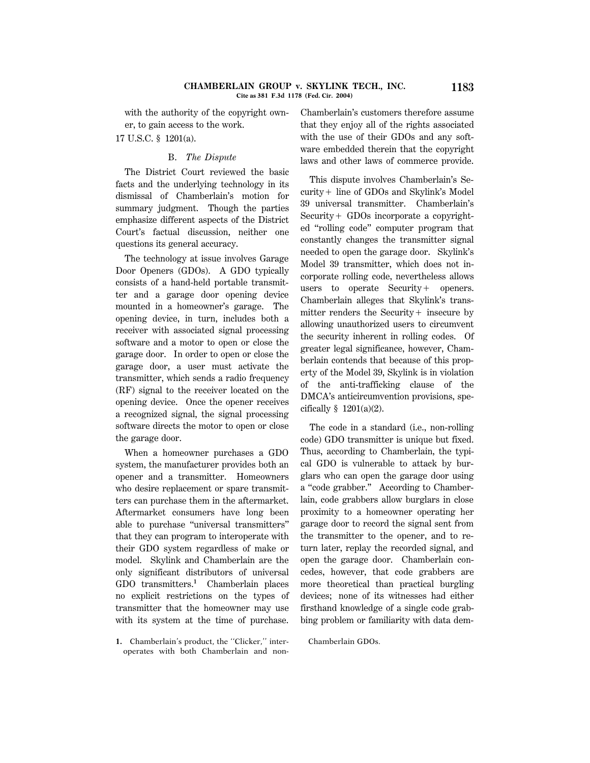with the authority of the copyright owner, to gain access to the work.

17 U.S.C. § 1201(a).

# B. *The Dispute*

The District Court reviewed the basic facts and the underlying technology in its dismissal of Chamberlain's motion for summary judgment. Though the parties emphasize different aspects of the District Court's factual discussion, neither one questions its general accuracy.

The technology at issue involves Garage Door Openers (GDOs). A GDO typically consists of a hand-held portable transmitter and a garage door opening device mounted in a homeowner's garage. The opening device, in turn, includes both a receiver with associated signal processing software and a motor to open or close the garage door. In order to open or close the garage door, a user must activate the transmitter, which sends a radio frequency (RF) signal to the receiver located on the opening device. Once the opener receives a recognized signal, the signal processing software directs the motor to open or close the garage door.

When a homeowner purchases a GDO system, the manufacturer provides both an opener and a transmitter. Homeowners who desire replacement or spare transmitters can purchase them in the aftermarket. Aftermarket consumers have long been able to purchase ''universal transmitters'' that they can program to interoperate with their GDO system regardless of make or model. Skylink and Chamberlain are the only significant distributors of universal GDO transmitters.**<sup>1</sup>** Chamberlain places no explicit restrictions on the types of transmitter that the homeowner may use with its system at the time of purchase.

**1.** Chamberlain's product, the ''Clicker,'' interoperates with both Chamberlain and nonChamberlain's customers therefore assume that they enjoy all of the rights associated with the use of their GDOs and any software embedded therein that the copyright laws and other laws of commerce provide.

This dispute involves Chamberlain's Se $curity + line of GDOs and Skylink's Model$ 39 universal transmitter. Chamberlain's Security + GDOs incorporate a copyrighted ''rolling code'' computer program that constantly changes the transmitter signal needed to open the garage door. Skylink's Model 39 transmitter, which does not incorporate rolling code, nevertheless allows users to operate Security + openers. Chamberlain alleges that Skylink's transmitter renders the Security + insecure by allowing unauthorized users to circumvent the security inherent in rolling codes. Of greater legal significance, however, Chamberlain contends that because of this property of the Model 39, Skylink is in violation of the anti-trafficking clause of the DMCA's anticircumvention provisions, specifically  $\S$  1201(a)(2).

The code in a standard (i.e., non-rolling code) GDO transmitter is unique but fixed. Thus, according to Chamberlain, the typical GDO is vulnerable to attack by burglars who can open the garage door using a ''code grabber.'' According to Chamberlain, code grabbers allow burglars in close proximity to a homeowner operating her garage door to record the signal sent from the transmitter to the opener, and to return later, replay the recorded signal, and open the garage door. Chamberlain concedes, however, that code grabbers are more theoretical than practical burgling devices; none of its witnesses had either firsthand knowledge of a single code grabbing problem or familiarity with data dem-

Chamberlain GDOs.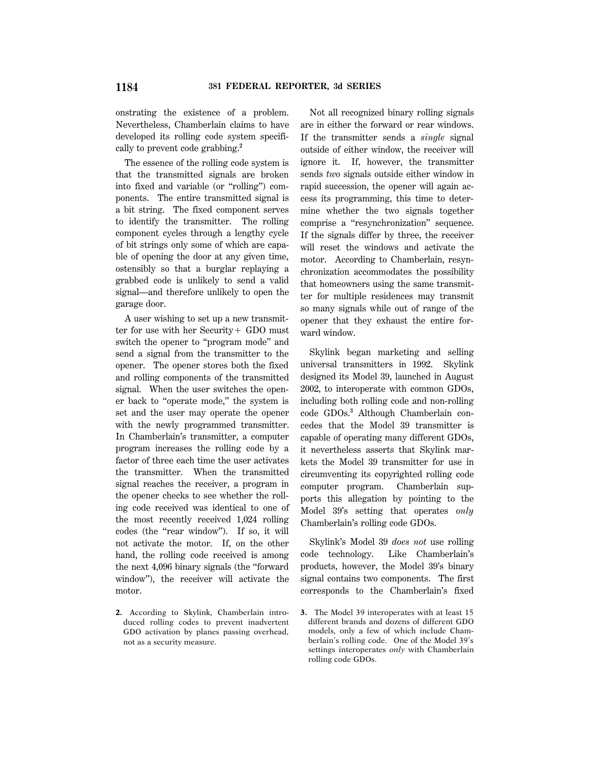onstrating the existence of a problem. Nevertheless, Chamberlain claims to have developed its rolling code system specifically to prevent code grabbing.**<sup>2</sup>**

The essence of the rolling code system is that the transmitted signals are broken into fixed and variable (or ''rolling'') components. The entire transmitted signal is a bit string. The fixed component serves to identify the transmitter. The rolling component cycles through a lengthy cycle of bit strings only some of which are capable of opening the door at any given time, ostensibly so that a burglar replaying a grabbed code is unlikely to send a valid signal—and therefore unlikely to open the garage door.

A user wishing to set up a new transmitter for use with her Security  $\div$  GDO must switch the opener to "program mode" and send a signal from the transmitter to the opener. The opener stores both the fixed and rolling components of the transmitted signal. When the user switches the opener back to ''operate mode,'' the system is set and the user may operate the opener with the newly programmed transmitter. In Chamberlain's transmitter, a computer program increases the rolling code by a factor of three each time the user activates the transmitter. When the transmitted signal reaches the receiver, a program in the opener checks to see whether the rolling code received was identical to one of the most recently received 1,024 rolling codes (the ''rear window''). If so, it will not activate the motor. If, on the other hand, the rolling code received is among the next 4,096 binary signals (the ''forward window''), the receiver will activate the motor.

**2.** According to Skylink, Chamberlain introduced rolling codes to prevent inadvertent GDO activation by planes passing overhead, not as a security measure.

Not all recognized binary rolling signals are in either the forward or rear windows. If the transmitter sends a *single* signal outside of either window, the receiver will ignore it. If, however, the transmitter sends *two* signals outside either window in rapid succession, the opener will again access its programming, this time to determine whether the two signals together comprise a ''resynchronization'' sequence. If the signals differ by three, the receiver will reset the windows and activate the motor. According to Chamberlain, resynchronization accommodates the possibility that homeowners using the same transmitter for multiple residences may transmit so many signals while out of range of the opener that they exhaust the entire forward window.

Skylink began marketing and selling universal transmitters in 1992. Skylink designed its Model 39, launched in August 2002, to interoperate with common GDOs, including both rolling code and non-rolling code GDOs.**<sup>3</sup>** Although Chamberlain concedes that the Model 39 transmitter is capable of operating many different GDOs, it nevertheless asserts that Skylink markets the Model 39 transmitter for use in circumventing its copyrighted rolling code computer program. Chamberlain supports this allegation by pointing to the Model 39's setting that operates *only* Chamberlain's rolling code GDOs.

Skylink's Model 39 *does not* use rolling code technology. Like Chamberlain's products, however, the Model 39's binary signal contains two components. The first corresponds to the Chamberlain's fixed

**<sup>3.</sup>** The Model 39 interoperates with at least 15 different brands and dozens of different GDO models, only a few of which include Chamberlain's rolling code. One of the Model 39's settings interoperates *only* with Chamberlain rolling code GDOs.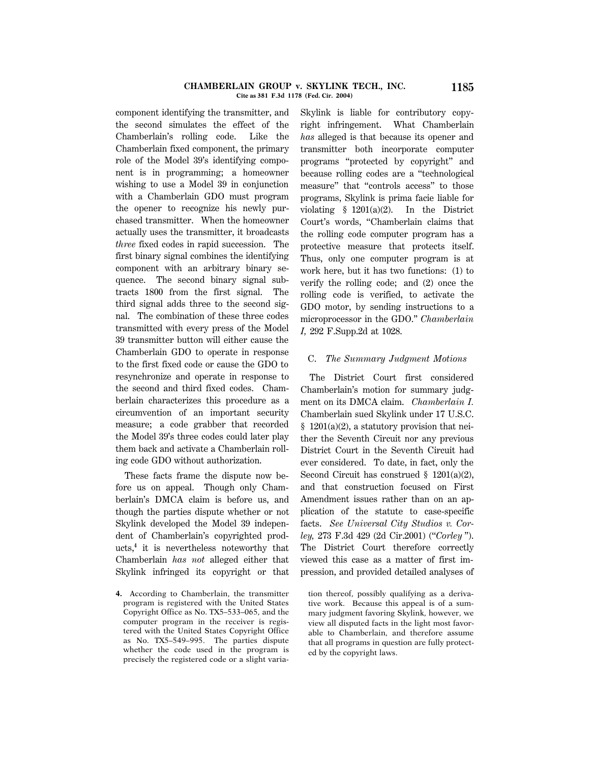#### **CHAMBERLAIN GROUP v. SKYLINK TECH., INC. 1185 Cite as 381 F.3d 1178 (Fed. Cir. 2004)**

component identifying the transmitter, and the second simulates the effect of the Chamberlain's rolling code. Like the Chamberlain fixed component, the primary role of the Model 39's identifying component is in programming; a homeowner wishing to use a Model 39 in conjunction with a Chamberlain GDO must program the opener to recognize his newly purchased transmitter. When the homeowner actually uses the transmitter, it broadcasts *three* fixed codes in rapid succession. The first binary signal combines the identifying component with an arbitrary binary sequence. The second binary signal subtracts 1800 from the first signal. The third signal adds three to the second signal. The combination of these three codes transmitted with every press of the Model 39 transmitter button will either cause the Chamberlain GDO to operate in response to the first fixed code or cause the GDO to resynchronize and operate in response to the second and third fixed codes. Chamberlain characterizes this procedure as a circumvention of an important security measure; a code grabber that recorded the Model 39's three codes could later play them back and activate a Chamberlain rolling code GDO without authorization.

These facts frame the dispute now before us on appeal. Though only Chamberlain's DMCA claim is before us, and though the parties dispute whether or not Skylink developed the Model 39 independent of Chamberlain's copyrighted products,**<sup>4</sup>** it is nevertheless noteworthy that Chamberlain *has not* alleged either that Skylink infringed its copyright or that

**4.** According to Chamberlain, the transmitter program is registered with the United States Copyright Office as No. TX5–533–065, and the computer program in the receiver is registered with the United States Copyright Office as No. TX5–549–995. The parties dispute whether the code used in the program is precisely the registered code or a slight variaSkylink is liable for contributory copyright infringement. What Chamberlain *has* alleged is that because its opener and transmitter both incorporate computer programs ''protected by copyright'' and because rolling codes are a ''technological measure'' that ''controls access'' to those programs, Skylink is prima facie liable for violating § 1201(a)(2). In the District Court's words, ''Chamberlain claims that the rolling code computer program has a protective measure that protects itself. Thus, only one computer program is at work here, but it has two functions: (1) to verify the rolling code; and (2) once the rolling code is verified, to activate the GDO motor, by sending instructions to a microprocessor in the GDO.'' *Chamberlain I,* 292 F.Supp.2d at 1028.

## C. *The Summary Judgment Motions*

The District Court first considered Chamberlain's motion for summary judgment on its DMCA claim. *Chamberlain I.* Chamberlain sued Skylink under 17 U.S.C.  $§ 1201(a)(2)$ , a statutory provision that neither the Seventh Circuit nor any previous District Court in the Seventh Circuit had ever considered. To date, in fact, only the Second Circuit has construed § 1201(a)(2), and that construction focused on First Amendment issues rather than on an application of the statute to case-specific facts. *See Universal City Studios v. Corley,* 273 F.3d 429 (2d Cir.2001) (''*Corley* ''). The District Court therefore correctly viewed this case as a matter of first impression, and provided detailed analyses of

tion thereof, possibly qualifying as a derivative work. Because this appeal is of a summary judgment favoring Skylink, however, we view all disputed facts in the light most favorable to Chamberlain, and therefore assume that all programs in question are fully protected by the copyright laws.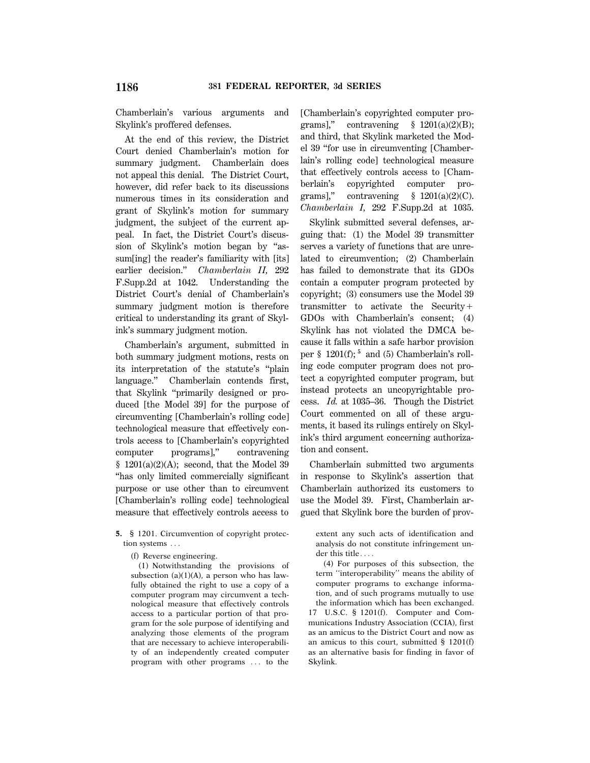Chamberlain's various arguments and Skylink's proffered defenses.

At the end of this review, the District Court denied Chamberlain's motion for summary judgment. Chamberlain does not appeal this denial. The District Court, however, did refer back to its discussions numerous times in its consideration and grant of Skylink's motion for summary judgment, the subject of the current appeal. In fact, the District Court's discussion of Skylink's motion began by ''assum[ing] the reader's familiarity with [its] earlier decision.'' *Chamberlain II,* 292 F.Supp.2d at 1042. Understanding the District Court's denial of Chamberlain's summary judgment motion is therefore critical to understanding its grant of Skylink's summary judgment motion.

Chamberlain's argument, submitted in both summary judgment motions, rests on its interpretation of the statute's ''plain language.'' Chamberlain contends first, that Skylink ''primarily designed or produced [the Model 39] for the purpose of circumventing [Chamberlain's rolling code] technological measure that effectively controls access to [Chamberlain's copyrighted computer programs],'' contravening  $$1201(a)(2)(A);$  second, that the Model 39 "has only limited commercially significant purpose or use other than to circumvent [Chamberlain's rolling code] technological measure that effectively controls access to

(f) Reverse engineering.

(1) Notwithstanding the provisions of subsection (a) $(1)(A)$ , a person who has lawfully obtained the right to use a copy of a computer program may circumvent a technological measure that effectively controls access to a particular portion of that program for the sole purpose of identifying and analyzing those elements of the program that are necessary to achieve interoperability of an independently created computer program with other programs ... to the

[Chamberlain's copyrighted computer programs]," contravening  $\S$  1201(a)(2)(B); and third, that Skylink marketed the Model 39 ''for use in circumventing [Chamberlain's rolling code] technological measure that effectively controls access to [Chamberlain's copyrighted computer programs]," contravening  $§ 1201(a)(2)(C)$ . *Chamberlain I,* 292 F.Supp.2d at 1035.

Skylink submitted several defenses, arguing that: (1) the Model 39 transmitter serves a variety of functions that are unrelated to circumvention; (2) Chamberlain has failed to demonstrate that its GDOs contain a computer program protected by copyright; (3) consumers use the Model 39 transmitter to activate the Security + GDOs with Chamberlain's consent; (4) Skylink has not violated the DMCA because it falls within a safe harbor provision per § 1201(f); **<sup>5</sup>** and (5) Chamberlain's rolling code computer program does not protect a copyrighted computer program, but instead protects an uncopyrightable process. *Id.* at 1035–36. Though the District Court commented on all of these arguments, it based its rulings entirely on Skylink's third argument concerning authorization and consent.

Chamberlain submitted two arguments in response to Skylink's assertion that Chamberlain authorized its customers to use the Model 39. First, Chamberlain argued that Skylink bore the burden of prov-

extent any such acts of identification and analysis do not constitute infringement under this title....

(4) For purposes of this subsection, the term ''interoperability'' means the ability of computer programs to exchange information, and of such programs mutually to use the information which has been exchanged. 17 U.S.C. § 1201(f). Computer and Communications Industry Association (CCIA), first as an amicus to the District Court and now as an amicus to this court, submitted § 1201(f) as an alternative basis for finding in favor of Skylink.

**<sup>5.</sup>** § 1201. Circumvention of copyright protection systems ...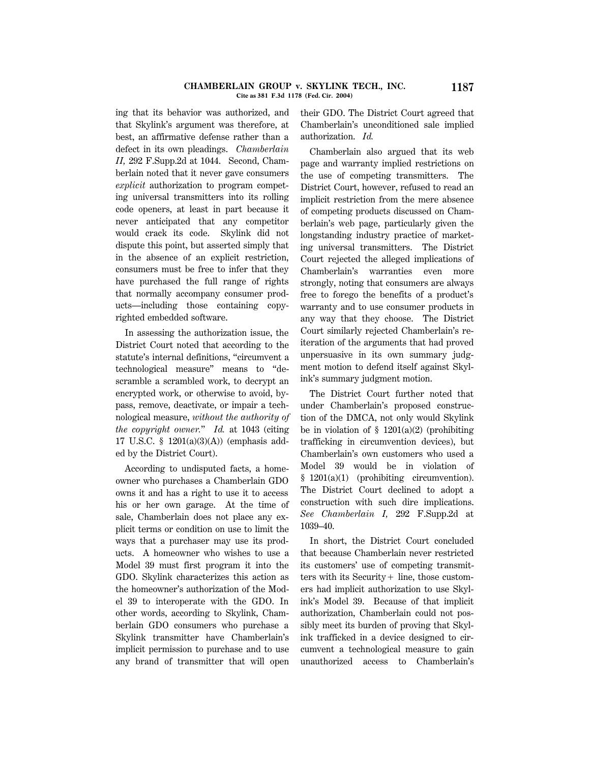### **CHAMBERLAIN GROUP v. SKYLINK TECH., INC. 1187 Cite as 381 F.3d 1178 (Fed. Cir. 2004)**

ing that its behavior was authorized, and that Skylink's argument was therefore, at best, an affirmative defense rather than a defect in its own pleadings. *Chamberlain II,* 292 F.Supp.2d at 1044. Second, Chamberlain noted that it never gave consumers *explicit* authorization to program competing universal transmitters into its rolling code openers, at least in part because it never anticipated that any competitor would crack its code. Skylink did not dispute this point, but asserted simply that in the absence of an explicit restriction, consumers must be free to infer that they have purchased the full range of rights that normally accompany consumer products—including those containing copyrighted embedded software.

In assessing the authorization issue, the District Court noted that according to the statute's internal definitions, ''circumvent a technological measure'' means to ''descramble a scrambled work, to decrypt an encrypted work, or otherwise to avoid, bypass, remove, deactivate, or impair a technological measure, *without the authority of the copyright owner.*'' *Id.* at 1043 (citing 17 U.S.C. § 1201(a)(3)(A)) (emphasis added by the District Court).

According to undisputed facts, a homeowner who purchases a Chamberlain GDO owns it and has a right to use it to access his or her own garage. At the time of sale, Chamberlain does not place any explicit terms or condition on use to limit the ways that a purchaser may use its products. A homeowner who wishes to use a Model 39 must first program it into the GDO. Skylink characterizes this action as the homeowner's authorization of the Model 39 to interoperate with the GDO. In other words, according to Skylink, Chamberlain GDO consumers who purchase a Skylink transmitter have Chamberlain's implicit permission to purchase and to use any brand of transmitter that will open their GDO. The District Court agreed that Chamberlain's unconditioned sale implied authorization. *Id.*

Chamberlain also argued that its web page and warranty implied restrictions on the use of competing transmitters. The District Court, however, refused to read an implicit restriction from the mere absence of competing products discussed on Chamberlain's web page, particularly given the longstanding industry practice of marketing universal transmitters. The District Court rejected the alleged implications of Chamberlain's warranties even more strongly, noting that consumers are always free to forego the benefits of a product's warranty and to use consumer products in any way that they choose. The District Court similarly rejected Chamberlain's reiteration of the arguments that had proved unpersuasive in its own summary judgment motion to defend itself against Skylink's summary judgment motion.

The District Court further noted that under Chamberlain's proposed construction of the DMCA, not only would Skylink be in violation of  $\S$  1201(a)(2) (prohibiting trafficking in circumvention devices), but Chamberlain's own customers who used a Model 39 would be in violation of § 1201(a)(1) (prohibiting circumvention). The District Court declined to adopt a construction with such dire implications. *See Chamberlain I,* 292 F.Supp.2d at 1039–40.

In short, the District Court concluded that because Chamberlain never restricted its customers' use of competing transmitters with its Security + line, those customers had implicit authorization to use Skylink's Model 39. Because of that implicit authorization, Chamberlain could not possibly meet its burden of proving that Skylink trafficked in a device designed to circumvent a technological measure to gain unauthorized access to Chamberlain's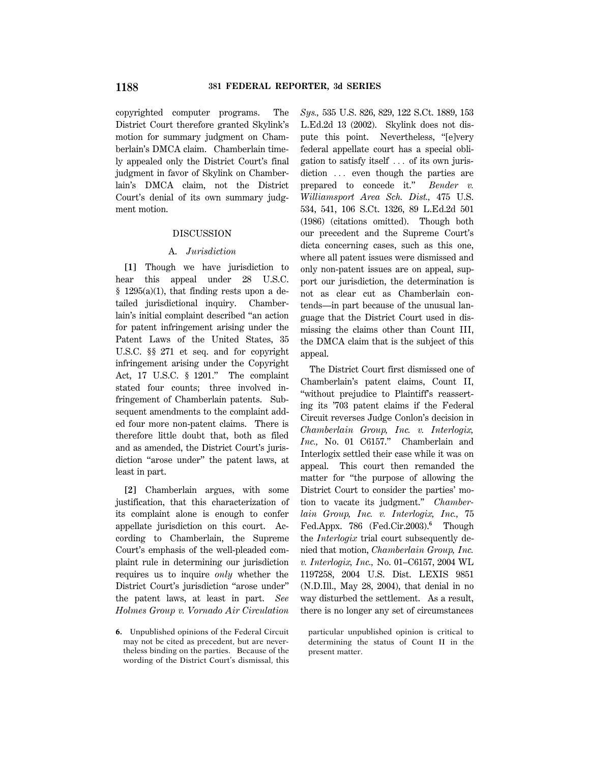copyrighted computer programs. The District Court therefore granted Skylink's motion for summary judgment on Chamberlain's DMCA claim. Chamberlain timely appealed only the District Court's final judgment in favor of Skylink on Chamberlain's DMCA claim, not the District Court's denial of its own summary judgment motion.

### DISCUSSION

## A. *Jurisdiction*

**[1]** Though we have jurisdiction to hear this appeal under 28 U.S.C.  $§$  1295(a)(1), that finding rests upon a detailed jurisdictional inquiry. Chamberlain's initial complaint described ''an action for patent infringement arising under the Patent Laws of the United States, 35 U.S.C. §§ 271 et seq. and for copyright infringement arising under the Copyright Act, 17 U.S.C. § 1201.'' The complaint stated four counts; three involved infringement of Chamberlain patents. Subsequent amendments to the complaint added four more non-patent claims. There is therefore little doubt that, both as filed and as amended, the District Court's jurisdiction ''arose under'' the patent laws, at least in part.

**[2]** Chamberlain argues, with some justification, that this characterization of its complaint alone is enough to confer appellate jurisdiction on this court. According to Chamberlain, the Supreme Court's emphasis of the well-pleaded complaint rule in determining our jurisdiction requires us to inquire *only* whether the District Court's jurisdiction ''arose under'' the patent laws, at least in part. *See Holmes Group v. Vornado Air Circulation* *Sys.,* 535 U.S. 826, 829, 122 S.Ct. 1889, 153 L.Ed.2d 13 (2002). Skylink does not dispute this point. Nevertheless, "[e]very federal appellate court has a special obligation to satisfy itself  $\ldots$  of its own juris $diction \dots$  even though the parties are prepared to concede it.'' *Bender v. Williamsport Area Sch. Dist.,* 475 U.S. 534, 541, 106 S.Ct. 1326, 89 L.Ed.2d 501 (1986) (citations omitted). Though both our precedent and the Supreme Court's dicta concerning cases, such as this one, where all patent issues were dismissed and only non-patent issues are on appeal, support our jurisdiction, the determination is not as clear cut as Chamberlain contends—in part because of the unusual language that the District Court used in dismissing the claims other than Count III, the DMCA claim that is the subject of this appeal.

The District Court first dismissed one of Chamberlain's patent claims, Count II, ''without prejudice to Plaintiff's reasserting its '703 patent claims if the Federal Circuit reverses Judge Conlon's decision in *Chamberlain Group, Inc. v. Interlogix, Inc.,* No. 01 C6157.'' Chamberlain and Interlogix settled their case while it was on appeal. This court then remanded the matter for ''the purpose of allowing the District Court to consider the parties' motion to vacate its judgment.'' *Chamberlain Group, Inc. v. Interlogix, Inc.,* 75 Fed.Appx. 786 (Fed.Cir.2003).**<sup>6</sup>** Though the *Interlogix* trial court subsequently denied that motion, *Chamberlain Group, Inc. v. Interlogix, Inc.,* No. 01–C6157, 2004 WL 1197258, 2004 U.S. Dist. LEXIS 9851 (N.D.Ill., May 28, 2004), that denial in no way disturbed the settlement. As a result, there is no longer any set of circumstances

particular unpublished opinion is critical to determining the status of Count II in the present matter.

**<sup>6.</sup>** Unpublished opinions of the Federal Circuit may not be cited as precedent, but are nevertheless binding on the parties. Because of the wording of the District Court's dismissal, this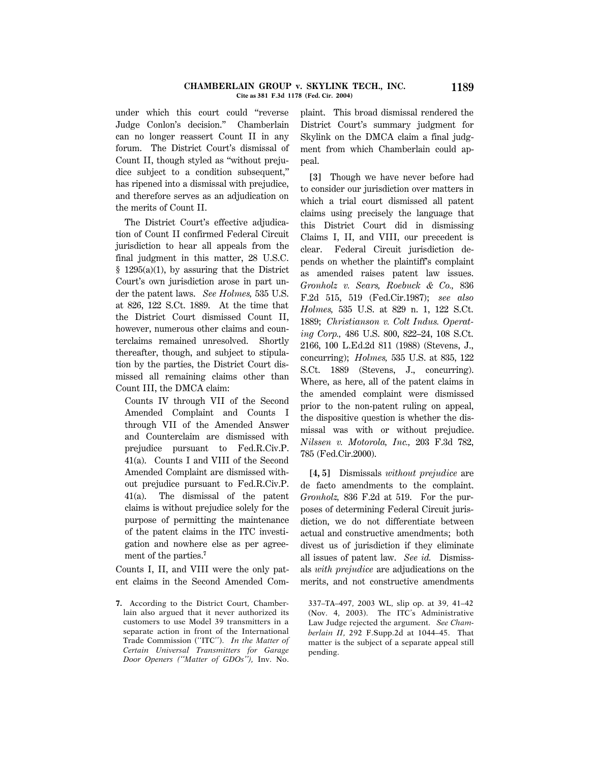#### **CHAMBERLAIN GROUP v. SKYLINK TECH., INC. 1189 Cite as 381 F.3d 1178 (Fed. Cir. 2004)**

under which this court could ''reverse Judge Conlon's decision.'' Chamberlain can no longer reassert Count II in any forum. The District Court's dismissal of Count II, though styled as ''without prejudice subject to a condition subsequent,'' has ripened into a dismissal with prejudice, and therefore serves as an adjudication on the merits of Count II.

The District Court's effective adjudication of Count II confirmed Federal Circuit jurisdiction to hear all appeals from the final judgment in this matter, 28 U.S.C.  $§$  1295(a)(1), by assuring that the District Court's own jurisdiction arose in part under the patent laws. *See Holmes,* 535 U.S. at 826, 122 S.Ct. 1889. At the time that the District Court dismissed Count II, however, numerous other claims and counterclaims remained unresolved. Shortly thereafter, though, and subject to stipulation by the parties, the District Court dismissed all remaining claims other than Count III, the DMCA claim:

Counts IV through VII of the Second Amended Complaint and Counts I through VII of the Amended Answer and Counterclaim are dismissed with prejudice pursuant to Fed.R.Civ.P. 41(a). Counts I and VIII of the Second Amended Complaint are dismissed without prejudice pursuant to Fed.R.Civ.P. 41(a). The dismissal of the patent claims is without prejudice solely for the purpose of permitting the maintenance of the patent claims in the ITC investigation and nowhere else as per agreement of the parties.**<sup>7</sup>**

Counts I, II, and VIII were the only patent claims in the Second Amended Complaint. This broad dismissal rendered the District Court's summary judgment for Skylink on the DMCA claim a final judgment from which Chamberlain could appeal.

**[3]** Though we have never before had to consider our jurisdiction over matters in which a trial court dismissed all patent claims using precisely the language that this District Court did in dismissing Claims I, II, and VIII, our precedent is clear. Federal Circuit jurisdiction depends on whether the plaintiff's complaint as amended raises patent law issues. *Gronholz v. Sears, Roebuck & Co.,* 836 F.2d 515, 519 (Fed.Cir.1987); *see also Holmes,* 535 U.S. at 829 n. 1, 122 S.Ct. 1889; *Christianson v. Colt Indus. Operating Corp.,* 486 U.S. 800, 822–24, 108 S.Ct. 2166, 100 L.Ed.2d 811 (1988) (Stevens, J., concurring); *Holmes,* 535 U.S. at 835, 122 S.Ct. 1889 (Stevens, J., concurring). Where, as here, all of the patent claims in the amended complaint were dismissed prior to the non-patent ruling on appeal, the dispositive question is whether the dismissal was with or without prejudice. *Nilssen v. Motorola, Inc.,* 203 F.3d 782, 785 (Fed.Cir.2000).

**[4, 5]** Dismissals *without prejudice* are de facto amendments to the complaint. *Gronholz,* 836 F.2d at 519. For the purposes of determining Federal Circuit jurisdiction, we do not differentiate between actual and constructive amendments; both divest us of jurisdiction if they eliminate all issues of patent law. *See id.* Dismissals *with prejudice* are adjudications on the merits, and not constructive amendments

337–TA–497, 2003 WL, slip op. at 39, 41–42 (Nov. 4, 2003). The ITC's Administrative Law Judge rejected the argument. *See Chamberlain II,* 292 F.Supp.2d at 1044–45. That matter is the subject of a separate appeal still pending.

**<sup>7.</sup>** According to the District Court, Chamberlain also argued that it never authorized its customers to use Model 39 transmitters in a separate action in front of the International Trade Commission (''ITC''). *In the Matter of Certain Universal Transmitters for Garage Door Openers (''Matter of GDOs''),* Inv. No.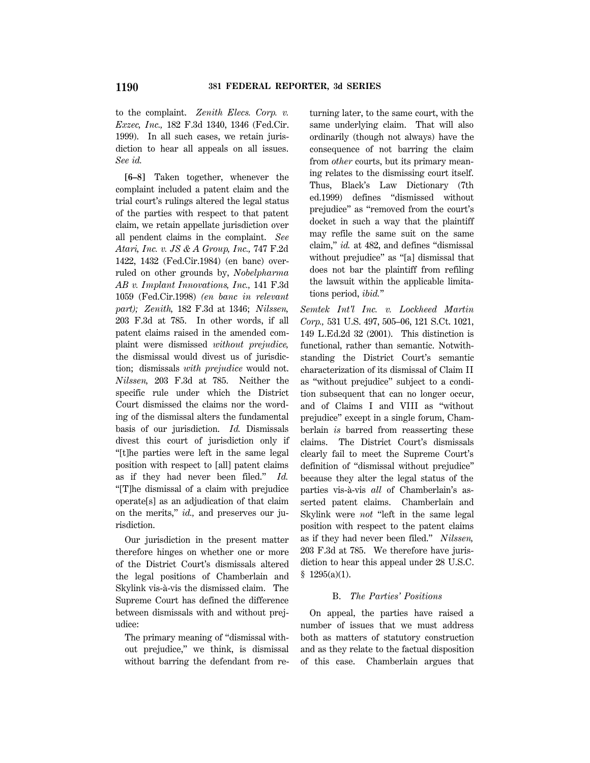to the complaint. *Zenith Elecs. Corp. v. Exzec, Inc.,* 182 F.3d 1340, 1346 (Fed.Cir. 1999). In all such cases, we retain jurisdiction to hear all appeals on all issues. *See id.*

**[6–8]** Taken together, whenever the complaint included a patent claim and the trial court's rulings altered the legal status of the parties with respect to that patent claim, we retain appellate jurisdiction over all pendent claims in the complaint. *See Atari, Inc. v. JS & A Group, Inc.,* 747 F.2d 1422, 1432 (Fed.Cir.1984) (en banc) overruled on other grounds by, *Nobelpharma AB v. Implant Innovations, Inc.,* 141 F.3d 1059 (Fed.Cir.1998) *(en banc in relevant part); Zenith,* 182 F.3d at 1346; *Nilssen,* 203 F.3d at 785. In other words, if all patent claims raised in the amended complaint were dismissed *without prejudice,* the dismissal would divest us of jurisdiction; dismissals *with prejudice* would not. *Nilssen,* 203 F.3d at 785. Neither the specific rule under which the District Court dismissed the claims nor the wording of the dismissal alters the fundamental basis of our jurisdiction. *Id.* Dismissals divest this court of jurisdiction only if ''[t]he parties were left in the same legal position with respect to [all] patent claims as if they had never been filed.'' *Id.* ''[T]he dismissal of a claim with prejudice operate[s] as an adjudication of that claim on the merits,'' *id.,* and preserves our jurisdiction.

Our jurisdiction in the present matter therefore hinges on whether one or more of the District Court's dismissals altered the legal positions of Chamberlain and Skylink vis-à-vis the dismissed claim. The Supreme Court has defined the difference between dismissals with and without prejudice:

The primary meaning of "dismissal without prejudice,'' we think, is dismissal without barring the defendant from re-

turning later, to the same court, with the same underlying claim. That will also ordinarily (though not always) have the consequence of not barring the claim from *other* courts, but its primary meaning relates to the dismissing court itself. Thus, Black's Law Dictionary (7th ed.1999) defines ''dismissed without prejudice'' as ''removed from the court's docket in such a way that the plaintiff may refile the same suit on the same claim,'' *id.* at 482, and defines ''dismissal without prejudice" as "[a] dismissal that does not bar the plaintiff from refiling the lawsuit within the applicable limitations period, *ibid.*''

*Semtek Int'l Inc. v. Lockheed Martin Corp.,* 531 U.S. 497, 505–06, 121 S.Ct. 1021, 149 L.Ed.2d 32 (2001). This distinction is functional, rather than semantic. Notwithstanding the District Court's semantic characterization of its dismissal of Claim II as ''without prejudice'' subject to a condition subsequent that can no longer occur, and of Claims I and VIII as ''without prejudice'' except in a single forum, Chamberlain *is* barred from reasserting these claims. The District Court's dismissals clearly fail to meet the Supreme Court's definition of ''dismissal without prejudice'' because they alter the legal status of the parties vis-à-vis *all* of Chamberlain's asserted patent claims. Chamberlain and Skylink were *not* "left in the same legal position with respect to the patent claims as if they had never been filed.'' *Nilssen,* 203 F.3d at 785. We therefore have jurisdiction to hear this appeal under 28 U.S.C.  $$1295(a)(1).$ 

#### B. *The Parties' Positions*

On appeal, the parties have raised a number of issues that we must address both as matters of statutory construction and as they relate to the factual disposition of this case. Chamberlain argues that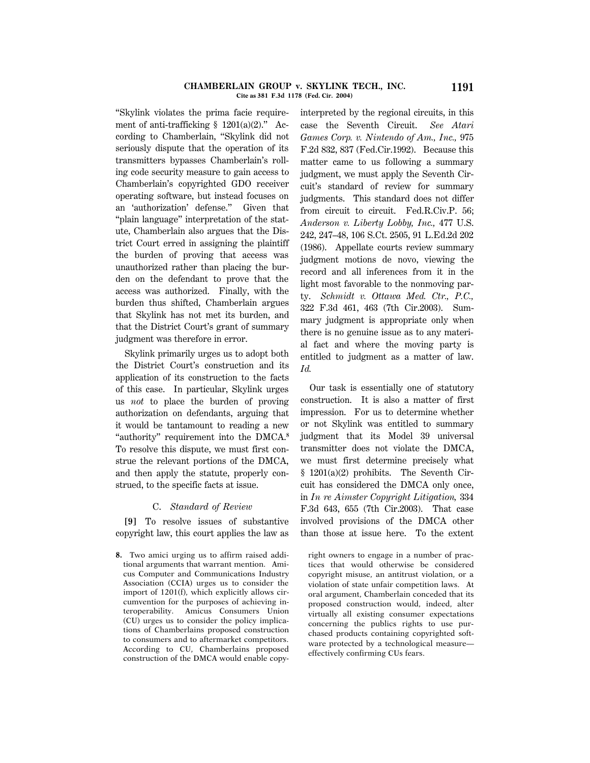#### **CHAMBERLAIN GROUP v. SKYLINK TECH., INC. 1191 Cite as 381 F.3d 1178 (Fed. Cir. 2004)**

''Skylink violates the prima facie requirement of anti-trafficking  $\S$  1201(a)(2)." According to Chamberlain, ''Skylink did not seriously dispute that the operation of its transmitters bypasses Chamberlain's rolling code security measure to gain access to Chamberlain's copyrighted GDO receiver operating software, but instead focuses on an 'authorization' defense.'' Given that ''plain language'' interpretation of the statute, Chamberlain also argues that the District Court erred in assigning the plaintiff the burden of proving that access was unauthorized rather than placing the burden on the defendant to prove that the access was authorized. Finally, with the burden thus shifted, Chamberlain argues that Skylink has not met its burden, and that the District Court's grant of summary judgment was therefore in error.

Skylink primarily urges us to adopt both the District Court's construction and its application of its construction to the facts of this case. In particular, Skylink urges us *not* to place the burden of proving authorization on defendants, arguing that it would be tantamount to reading a new ''authority'' requirement into the DMCA.**<sup>8</sup>** To resolve this dispute, we must first construe the relevant portions of the DMCA, and then apply the statute, properly construed, to the specific facts at issue.

## C. *Standard of Review*

**[9]** To resolve issues of substantive copyright law, this court applies the law as interpreted by the regional circuits, in this case the Seventh Circuit. *See Atari Games Corp. v. Nintendo of Am., Inc.,* 975 F.2d 832, 837 (Fed.Cir.1992). Because this matter came to us following a summary judgment, we must apply the Seventh Circuit's standard of review for summary judgments. This standard does not differ from circuit to circuit. Fed.R.Civ.P. 56; *Anderson v. Liberty Lobby, Inc.,* 477 U.S. 242, 247–48, 106 S.Ct. 2505, 91 L.Ed.2d 202 (1986). Appellate courts review summary judgment motions de novo, viewing the record and all inferences from it in the light most favorable to the nonmoving party. *Schmidt v. Ottawa Med. Ctr., P.C.,* 322 F.3d 461, 463 (7th Cir.2003). Summary judgment is appropriate only when there is no genuine issue as to any material fact and where the moving party is entitled to judgment as a matter of law. *Id.*

Our task is essentially one of statutory construction. It is also a matter of first impression. For us to determine whether or not Skylink was entitled to summary judgment that its Model 39 universal transmitter does not violate the DMCA, we must first determine precisely what § 1201(a)(2) prohibits. The Seventh Circuit has considered the DMCA only once, in *In re Aimster Copyright Litigation,* 334 F.3d 643, 655 (7th Cir.2003). That case involved provisions of the DMCA other than those at issue here. To the extent

right owners to engage in a number of practices that would otherwise be considered copyright misuse, an antitrust violation, or a violation of state unfair competition laws. At oral argument, Chamberlain conceded that its proposed construction would, indeed, alter virtually all existing consumer expectations concerning the publics rights to use purchased products containing copyrighted software protected by a technological measure effectively confirming CUs fears.

**<sup>8.</sup>** Two amici urging us to affirm raised additional arguments that warrant mention. Amicus Computer and Communications Industry Association (CCIA) urges us to consider the import of 1201(f), which explicitly allows circumvention for the purposes of achieving interoperability. Amicus Consumers Union (CU) urges us to consider the policy implications of Chamberlains proposed construction to consumers and to aftermarket competitors. According to CU, Chamberlains proposed construction of the DMCA would enable copy-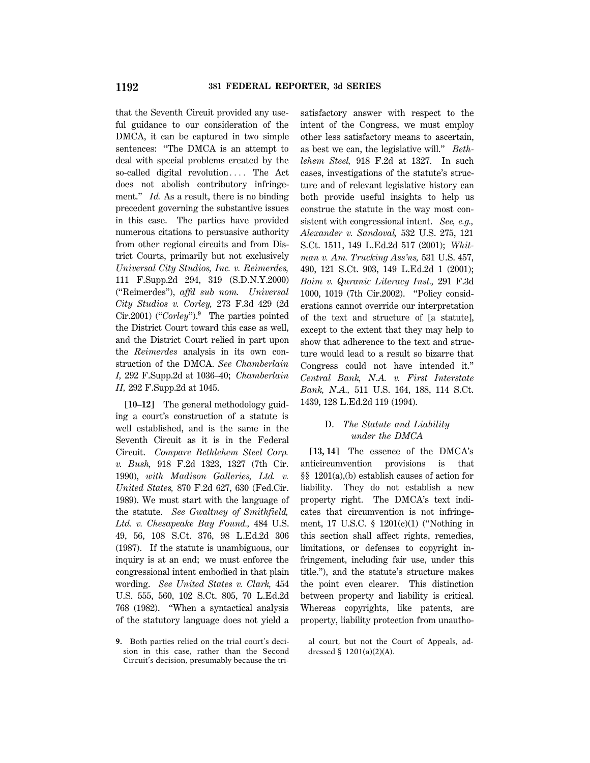that the Seventh Circuit provided any useful guidance to our consideration of the DMCA, it can be captured in two simple sentences: ''The DMCA is an attempt to deal with special problems created by the so-called digital revolution $\ldots$ . The Act does not abolish contributory infringement.'' *Id.* As a result, there is no binding precedent governing the substantive issues in this case. The parties have provided numerous citations to persuasive authority from other regional circuits and from District Courts, primarily but not exclusively *Universal City Studios, Inc. v. Reimerdes,* 111 F.Supp.2d 294, 319 (S.D.N.Y.2000) (''Reimerdes''), *affd sub nom. Universal City Studios v. Corley,* 273 F.3d 429 (2d Cir.2001) (''*Corley*'').**<sup>9</sup>** The parties pointed the District Court toward this case as well, and the District Court relied in part upon the *Reimerdes* analysis in its own construction of the DMCA. *See Chamberlain I,* 292 F.Supp.2d at 1036–40; *Chamberlain II,* 292 F.Supp.2d at 1045.

**[10–12]** The general methodology guiding a court's construction of a statute is well established, and is the same in the Seventh Circuit as it is in the Federal Circuit. *Compare Bethlehem Steel Corp. v. Bush,* 918 F.2d 1323, 1327 (7th Cir. 1990), *with Madison Galleries, Ltd. v. United States,* 870 F.2d 627, 630 (Fed.Cir. 1989). We must start with the language of the statute. *See Gwaltney of Smithfield, Ltd. v. Chesapeake Bay Found.,* 484 U.S. 49, 56, 108 S.Ct. 376, 98 L.Ed.2d 306 (1987). If the statute is unambiguous, our inquiry is at an end; we must enforce the congressional intent embodied in that plain wording. *See United States v. Clark,* 454 U.S. 555, 560, 102 S.Ct. 805, 70 L.Ed.2d 768 (1982). ''When a syntactical analysis of the statutory language does not yield a

**9.** Both parties relied on the trial court's decision in this case, rather than the Second Circuit's decision, presumably because the trisatisfactory answer with respect to the intent of the Congress, we must employ other less satisfactory means to ascertain, as best we can, the legislative will.'' *Bethlehem Steel,* 918 F.2d at 1327. In such cases, investigations of the statute's structure and of relevant legislative history can both provide useful insights to help us construe the statute in the way most consistent with congressional intent. *See, e.g., Alexander v. Sandoval,* 532 U.S. 275, 121 S.Ct. 1511, 149 L.Ed.2d 517 (2001); *Whitman v. Am. Trucking Ass'ns,* 531 U.S. 457, 490, 121 S.Ct. 903, 149 L.Ed.2d 1 (2001); *Boim v. Quranic Literacy Inst.,* 291 F.3d 1000, 1019 (7th Cir.2002). ''Policy considerations cannot override our interpretation of the text and structure of [a statute], except to the extent that they may help to show that adherence to the text and structure would lead to a result so bizarre that Congress could not have intended it.'' *Central Bank, N.A. v. First Interstate Bank, N.A.,* 511 U.S. 164, 188, 114 S.Ct. 1439, 128 L.Ed.2d 119 (1994).

# D. *The Statute and Liability under the DMCA*

**[13, 14]** The essence of the DMCA's anticircumvention provisions is that §§ 1201(a),(b) establish causes of action for liability. They do not establish a new property right. The DMCA's text indicates that circumvention is not infringement, 17 U.S.C. § 1201(c)(1) (''Nothing in this section shall affect rights, remedies, limitations, or defenses to copyright infringement, including fair use, under this title.''), and the statute's structure makes the point even clearer. This distinction between property and liability is critical. Whereas copyrights, like patents, are property, liability protection from unautho-

al court, but not the Court of Appeals, addressed §  $1201(a)(2)(A)$ .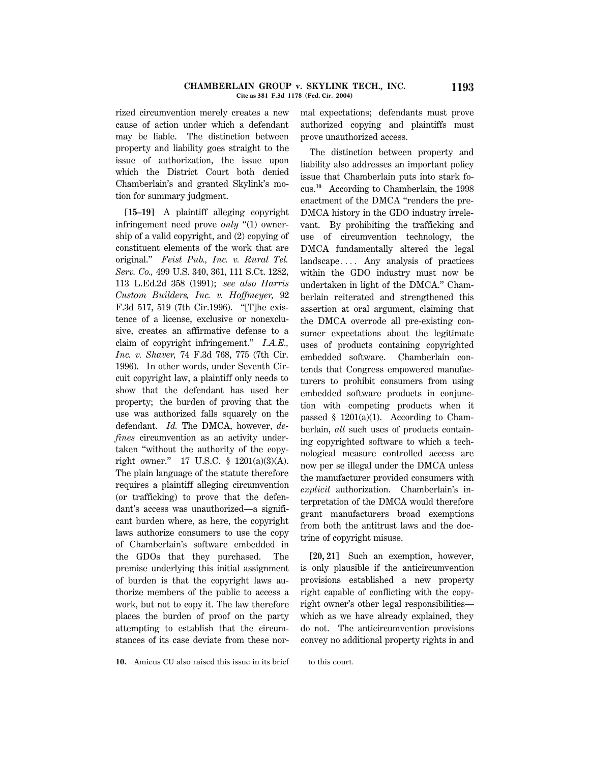#### **CHAMBERLAIN GROUP v. SKYLINK TECH., INC. 1193 Cite as 381 F.3d 1178 (Fed. Cir. 2004)**

rized circumvention merely creates a new cause of action under which a defendant may be liable. The distinction between property and liability goes straight to the issue of authorization, the issue upon which the District Court both denied Chamberlain's and granted Skylink's motion for summary judgment.

**[15–19]** A plaintiff alleging copyright infringement need prove *only* "(1) ownership of a valid copyright, and (2) copying of constituent elements of the work that are original.'' *Feist Pub., Inc. v. Rural Tel. Serv. Co.,* 499 U.S. 340, 361, 111 S.Ct. 1282, 113 L.Ed.2d 358 (1991); *see also Harris Custom Builders, Inc. v. Hoffmeyer,* 92 F.3d 517, 519 (7th Cir.1996). ''[T]he existence of a license, exclusive or nonexclusive, creates an affirmative defense to a claim of copyright infringement.'' *I.A.E., Inc. v. Shaver,* 74 F.3d 768, 775 (7th Cir. 1996). In other words, under Seventh Circuit copyright law, a plaintiff only needs to show that the defendant has used her property; the burden of proving that the use was authorized falls squarely on the defendant. *Id.* The DMCA, however, *defines* circumvention as an activity undertaken ''without the authority of the copyright owner.'' 17 U.S.C. § 1201(a)(3)(A). The plain language of the statute therefore requires a plaintiff alleging circumvention (or trafficking) to prove that the defendant's access was unauthorized—a significant burden where, as here, the copyright laws authorize consumers to use the copy of Chamberlain's software embedded in the GDOs that they purchased. The premise underlying this initial assignment of burden is that the copyright laws authorize members of the public to access a work, but not to copy it. The law therefore places the burden of proof on the party attempting to establish that the circumstances of its case deviate from these normal expectations; defendants must prove authorized copying and plaintiffs must prove unauthorized access.

The distinction between property and liability also addresses an important policy issue that Chamberlain puts into stark focus.**<sup>10</sup>** According to Chamberlain, the 1998 enactment of the DMCA ''renders the pre-DMCA history in the GDO industry irrelevant. By prohibiting the trafficking and use of circumvention technology, the DMCA fundamentally altered the legal  $landscale...$  Any analysis of practices within the GDO industry must now be undertaken in light of the DMCA.'' Chamberlain reiterated and strengthened this assertion at oral argument, claiming that the DMCA overrode all pre-existing consumer expectations about the legitimate uses of products containing copyrighted embedded software. Chamberlain contends that Congress empowered manufacturers to prohibit consumers from using embedded software products in conjunction with competing products when it passed  $§$  1201(a)(1). According to Chamberlain, *all* such uses of products containing copyrighted software to which a technological measure controlled access are now per se illegal under the DMCA unless the manufacturer provided consumers with *explicit* authorization. Chamberlain's interpretation of the DMCA would therefore grant manufacturers broad exemptions from both the antitrust laws and the doctrine of copyright misuse.

**[20, 21]** Such an exemption, however, is only plausible if the anticircumvention provisions established a new property right capable of conflicting with the copyright owner's other legal responsibilities which as we have already explained, they do not. The anticircumvention provisions convey no additional property rights in and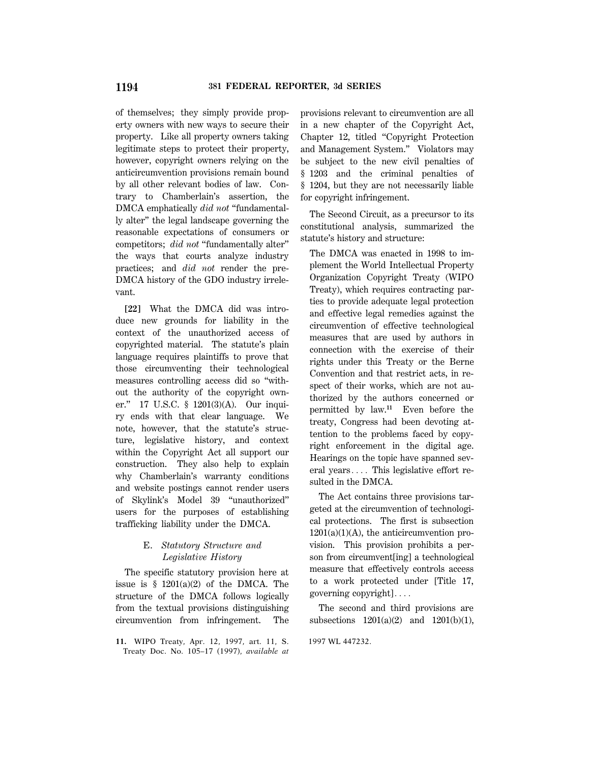of themselves; they simply provide property owners with new ways to secure their property. Like all property owners taking legitimate steps to protect their property, however, copyright owners relying on the anticircumvention provisions remain bound by all other relevant bodies of law. Contrary to Chamberlain's assertion, the DMCA emphatically *did not* ''fundamentally alter'' the legal landscape governing the reasonable expectations of consumers or competitors; *did not* "fundamentally alter" the ways that courts analyze industry practices; and *did not* render the pre-DMCA history of the GDO industry irrelevant.

**[22]** What the DMCA did was introduce new grounds for liability in the context of the unauthorized access of copyrighted material. The statute's plain language requires plaintiffs to prove that those circumventing their technological measures controlling access did so ''without the authority of the copyright owner.'' 17 U.S.C. § 1201(3)(A). Our inquiry ends with that clear language. We note, however, that the statute's structure, legislative history, and context within the Copyright Act all support our construction. They also help to explain why Chamberlain's warranty conditions and website postings cannot render users of Skylink's Model 39 ''unauthorized'' users for the purposes of establishing trafficking liability under the DMCA.

# E. *Statutory Structure and Legislative History*

The specific statutory provision here at issue is  $\S$  1201(a)(2) of the DMCA. The structure of the DMCA follows logically from the textual provisions distinguishing circumvention from infringement. The

**11.** WIPO Treaty, Apr. 12, 1997, art. 11, S. Treaty Doc. No. 105–17 (1997), *available at* provisions relevant to circumvention are all in a new chapter of the Copyright Act, Chapter 12, titled ''Copyright Protection and Management System.'' Violators may be subject to the new civil penalties of § 1203 and the criminal penalties of § 1204, but they are not necessarily liable for copyright infringement.

The Second Circuit, as a precursor to its constitutional analysis, summarized the statute's history and structure:

The DMCA was enacted in 1998 to implement the World Intellectual Property Organization Copyright Treaty (WIPO Treaty), which requires contracting parties to provide adequate legal protection and effective legal remedies against the circumvention of effective technological measures that are used by authors in connection with the exercise of their rights under this Treaty or the Berne Convention and that restrict acts, in respect of their works, which are not authorized by the authors concerned or permitted by law.**<sup>11</sup>** Even before the treaty, Congress had been devoting attention to the problems faced by copyright enforcement in the digital age. Hearings on the topic have spanned several years.... This legislative effort resulted in the DMCA.

The Act contains three provisions targeted at the circumvention of technological protections. The first is subsection  $1201(a)(1)(A)$ , the anticircumvention provision. This provision prohibits a person from circumvent[ing] a technological measure that effectively controls access to a work protected under [Title 17, governing copyright]....

The second and third provisions are subsections  $1201(a)(2)$  and  $1201(b)(1)$ ,

1997 WL 447232.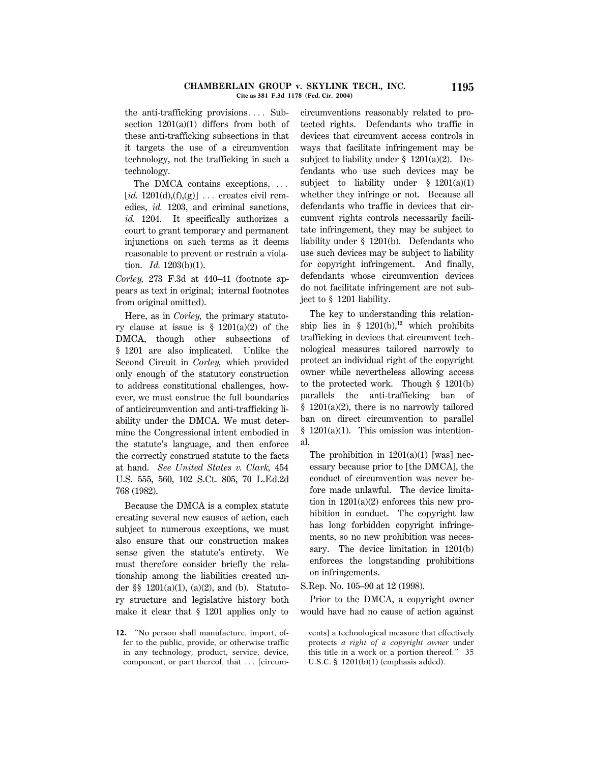#### **CHAMBERLAIN GROUP v. SKYLINK TECH., INC. 1195 Cite as 381 F.3d 1178 (Fed. Cir. 2004)**

the anti-trafficking provisions.... Subsection 1201(a)(1) differs from both of these anti-trafficking subsections in that it targets the use of a circumvention technology, not the trafficking in such a technology.

The DMCA contains exceptions, ... [*id.* 1201(d),(f),(g)]  $\ldots$  creates civil remedies, *id.* 1203, and criminal sanctions, *id.* 1204. It specifically authorizes a court to grant temporary and permanent injunctions on such terms as it deems reasonable to prevent or restrain a violation. *Id.* 1203(b)(1).

*Corley,* 273 F.3d at 440–41 (footnote appears as text in original; internal footnotes from original omitted).

Here, as in *Corley,* the primary statutory clause at issue is  $\S$  1201(a)(2) of the DMCA, though other subsections of § 1201 are also implicated. Unlike the Second Circuit in *Corley,* which provided only enough of the statutory construction to address constitutional challenges, however, we must construe the full boundaries of anticircumvention and anti-trafficking liability under the DMCA. We must determine the Congressional intent embodied in the statute's language, and then enforce the correctly construed statute to the facts at hand. *See United States v. Clark,* 454 U.S. 555, 560, 102 S.Ct. 805, 70 L.Ed.2d 768 (1982).

Because the DMCA is a complex statute creating several new causes of action, each subject to numerous exceptions, we must also ensure that our construction makes sense given the statute's entirety. We must therefore consider briefly the relationship among the liabilities created under  $\S$  1201(a)(1), (a)(2), and (b). Statutory structure and legislative history both make it clear that § 1201 applies only to

**12.** ''No person shall manufacture, import, offer to the public, provide, or otherwise traffic in any technology, product, service, device, component, or part thereof, that ... [circum-

circumventions reasonably related to protected rights. Defendants who traffic in devices that circumvent access controls in ways that facilitate infringement may be subject to liability under  $§$  1201(a)(2). Defendants who use such devices may be subject to liability under  $§ 1201(a)(1)$ whether they infringe or not. Because all defendants who traffic in devices that circumvent rights controls necessarily facilitate infringement, they may be subject to liability under § 1201(b). Defendants who use such devices may be subject to liability for copyright infringement. And finally, defendants whose circumvention devices do not facilitate infringement are not subject to § 1201 liability.

The key to understanding this relationship lies in §  $1201(b)$ ,<sup>12</sup> which prohibits trafficking in devices that circumvent technological measures tailored narrowly to protect an individual right of the copyright owner while nevertheless allowing access to the protected work. Though § 1201(b) parallels the anti-trafficking ban of § 1201(a)(2), there is no narrowly tailored ban on direct circumvention to parallel  $§ 1201(a)(1)$ . This omission was intentional.

The prohibition in  $1201(a)(1)$  [was] necessary because prior to [the DMCA], the conduct of circumvention was never before made unlawful. The device limitation in  $1201(a)(2)$  enforces this new prohibition in conduct. The copyright law has long forbidden copyright infringements, so no new prohibition was necessary. The device limitation in 1201(b) enforces the longstanding prohibitions on infringements.

S.Rep. No. 105–90 at 12 (1998).

Prior to the DMCA, a copyright owner would have had no cause of action against

vents] a technological measure that effectively protects *a right of a copyright owner* under this title in a work or a portion thereof.'' 35 U.S.C. § 1201(b)(1) (emphasis added).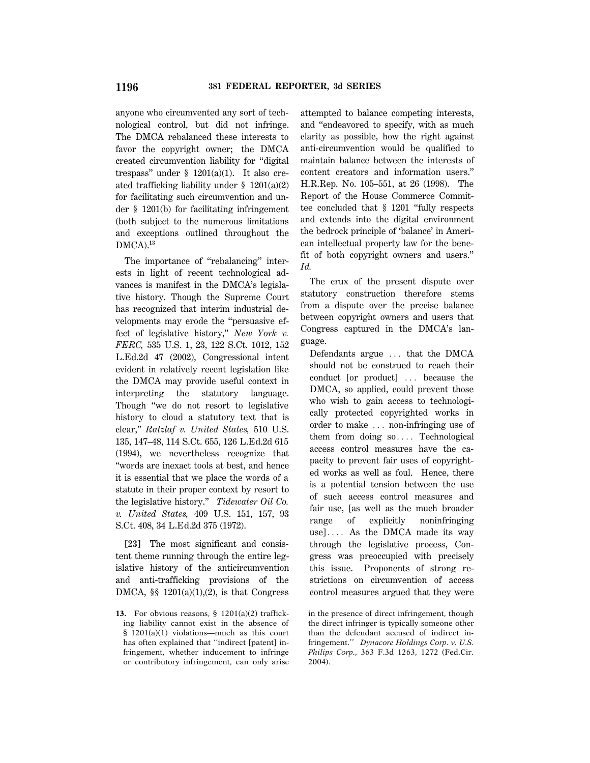anyone who circumvented any sort of technological control, but did not infringe. The DMCA rebalanced these interests to favor the copyright owner; the DMCA created circumvention liability for ''digital trespass" under  $\S$  1201(a)(1). It also created trafficking liability under  $\S$  1201(a)(2) for facilitating such circumvention and under § 1201(b) for facilitating infringement (both subject to the numerous limitations and exceptions outlined throughout the DMCA).**<sup>13</sup>**

The importance of "rebalancing" interests in light of recent technological advances is manifest in the DMCA's legislative history. Though the Supreme Court has recognized that interim industrial developments may erode the ''persuasive effect of legislative history,'' *New York v. FERC,* 535 U.S. 1, 23, 122 S.Ct. 1012, 152 L.Ed.2d 47 (2002), Congressional intent evident in relatively recent legislation like the DMCA may provide useful context in interpreting the statutory language. Though ''we do not resort to legislative history to cloud a statutory text that is clear,'' *Ratzlaf v. United States,* 510 U.S. 135, 147–48, 114 S.Ct. 655, 126 L.Ed.2d 615 (1994), we nevertheless recognize that ''words are inexact tools at best, and hence it is essential that we place the words of a statute in their proper context by resort to the legislative history.'' *Tidewater Oil Co. v. United States,* 409 U.S. 151, 157, 93 S.Ct. 408, 34 L.Ed.2d 375 (1972).

**[23]** The most significant and consistent theme running through the entire legislative history of the anticircumvention and anti-trafficking provisions of the DMCA,  $\S$   $1201(a)(1),(2)$ , is that Congress

**13.** For obvious reasons, § 1201(a)(2) trafficking liability cannot exist in the absence of § 1201(a)(1) violations—much as this court has often explained that ''indirect [patent] infringement, whether inducement to infringe or contributory infringement, can only arise attempted to balance competing interests, and ''endeavored to specify, with as much clarity as possible, how the right against anti-circumvention would be qualified to maintain balance between the interests of content creators and information users.'' H.R.Rep. No. 105–551, at 26 (1998). The Report of the House Commerce Committee concluded that § 1201 ''fully respects and extends into the digital environment the bedrock principle of 'balance' in American intellectual property law for the benefit of both copyright owners and users.'' *Id.*

The crux of the present dispute over statutory construction therefore stems from a dispute over the precise balance between copyright owners and users that Congress captured in the DMCA's language.

Defendants argue  $\ldots$  that the DMCA should not be construed to reach their conduct  $[or product]$  ... because the DMCA, so applied, could prevent those who wish to gain access to technologically protected copyrighted works in order to make ... non-infringing use of them from doing  $so...$  Technological access control measures have the capacity to prevent fair uses of copyrighted works as well as foul. Hence, there is a potential tension between the use of such access control measures and fair use, [as well as the much broader range of explicitly noninfringing use].... As the DMCA made its way through the legislative process, Congress was preoccupied with precisely this issue. Proponents of strong restrictions on circumvention of access control measures argued that they were

in the presence of direct infringement, though the direct infringer is typically someone other than the defendant accused of indirect infringement.'' *Dynacore Holdings Corp. v. U.S. Philips Corp.,* 363 F.3d 1263, 1272 (Fed.Cir. 2004).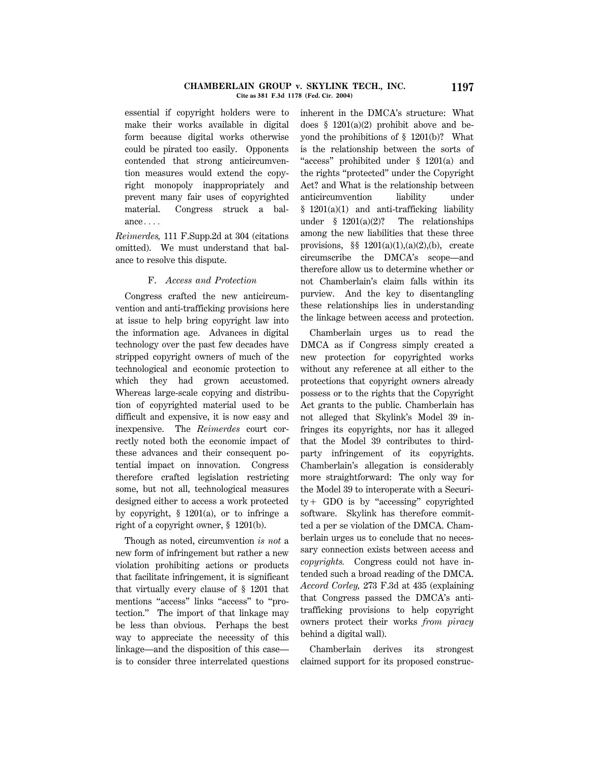#### **CHAMBERLAIN GROUP v. SKYLINK TECH., INC. 1197 Cite as 381 F.3d 1178 (Fed. Cir. 2004)**

essential if copyright holders were to make their works available in digital form because digital works otherwise could be pirated too easily. Opponents contended that strong anticircumvention measures would extend the copyright monopoly inappropriately and prevent many fair uses of copyrighted material. Congress struck a balance....

*Reimerdes,* 111 F.Supp.2d at 304 (citations omitted). We must understand that balance to resolve this dispute.

## F. *Access and Protection*

Congress crafted the new anticircumvention and anti-trafficking provisions here at issue to help bring copyright law into the information age. Advances in digital technology over the past few decades have stripped copyright owners of much of the technological and economic protection to which they had grown accustomed. Whereas large-scale copying and distribution of copyrighted material used to be difficult and expensive, it is now easy and inexpensive. The *Reimerdes* court correctly noted both the economic impact of these advances and their consequent potential impact on innovation. Congress therefore crafted legislation restricting some, but not all, technological measures designed either to access a work protected by copyright,  $\S$  1201(a), or to infringe a right of a copyright owner, § 1201(b).

Though as noted, circumvention *is not* a new form of infringement but rather a new violation prohibiting actions or products that facilitate infringement, it is significant that virtually every clause of § 1201 that mentions "access" links "access" to "protection.'' The import of that linkage may be less than obvious. Perhaps the best way to appreciate the necessity of this linkage—and the disposition of this case is to consider three interrelated questions inherent in the DMCA's structure: What does  $\S$  1201(a)(2) prohibit above and beyond the prohibitions of § 1201(b)? What is the relationship between the sorts of ''access'' prohibited under § 1201(a) and the rights ''protected'' under the Copyright Act? and What is the relationship between anticircumvention liability under § 1201(a)(1) and anti-trafficking liability under  $§$  1201(a)(2)? The relationships among the new liabilities that these three provisions,  $\S$   $1201(a)(1),(a)(2),(b)$ , create circumscribe the DMCA's scope—and therefore allow us to determine whether or not Chamberlain's claim falls within its purview. And the key to disentangling these relationships lies in understanding the linkage between access and protection.

Chamberlain urges us to read the DMCA as if Congress simply created a new protection for copyrighted works without any reference at all either to the protections that copyright owners already possess or to the rights that the Copyright Act grants to the public. Chamberlain has not alleged that Skylink's Model 39 infringes its copyrights, nor has it alleged that the Model 39 contributes to thirdparty infringement of its copyrights. Chamberlain's allegation is considerably more straightforward: The only way for the Model 39 to interoperate with a Securi $ty + GDO$  is by "accessing" copyrighted software. Skylink has therefore committed a per se violation of the DMCA. Chamberlain urges us to conclude that no necessary connection exists between access and *copyrights.* Congress could not have intended such a broad reading of the DMCA. *Accord Corley,* 273 F.3d at 435 (explaining that Congress passed the DMCA's antitrafficking provisions to help copyright owners protect their works *from piracy* behind a digital wall).

Chamberlain derives its strongest claimed support for its proposed construc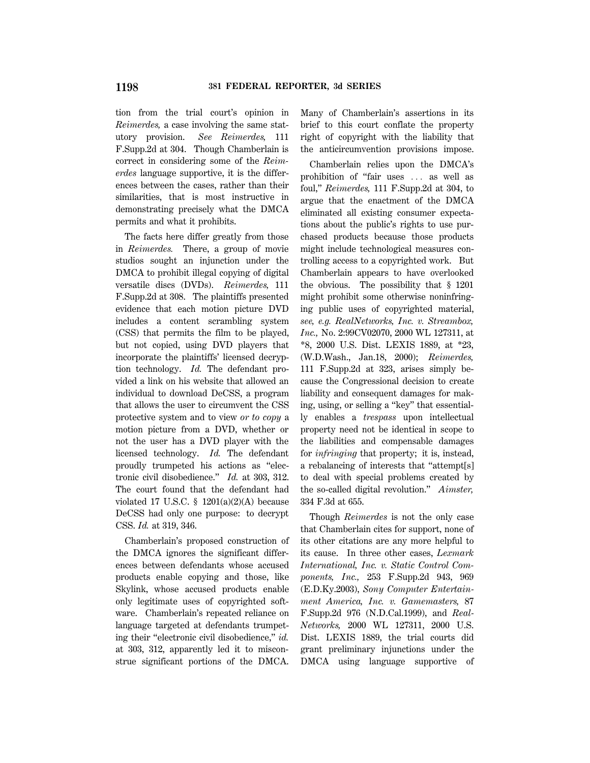tion from the trial court's opinion in *Reimerdes,* a case involving the same statutory provision. *See Reimerdes,* 111 F.Supp.2d at 304. Though Chamberlain is correct in considering some of the *Reimerdes* language supportive, it is the differences between the cases, rather than their similarities, that is most instructive in demonstrating precisely what the DMCA permits and what it prohibits.

The facts here differ greatly from those in *Reimerdes.* There, a group of movie studios sought an injunction under the DMCA to prohibit illegal copying of digital versatile discs (DVDs). *Reimerdes,* 111 F.Supp.2d at 308. The plaintiffs presented evidence that each motion picture DVD includes a content scrambling system (CSS) that permits the film to be played, but not copied, using DVD players that incorporate the plaintiffs' licensed decryption technology. *Id.* The defendant provided a link on his website that allowed an individual to download DeCSS, a program that allows the user to circumvent the CSS protective system and to view *or to copy* a motion picture from a DVD, whether or not the user has a DVD player with the licensed technology. *Id.* The defendant proudly trumpeted his actions as ''electronic civil disobedience.'' *Id.* at 303, 312. The court found that the defendant had violated 17 U.S.C.  $\frac{1201(a)(2)(A)}{204(b)(2)}$ DeCSS had only one purpose: to decrypt CSS. *Id.* at 319, 346.

Chamberlain's proposed construction of the DMCA ignores the significant differences between defendants whose accused products enable copying and those, like Skylink, whose accused products enable only legitimate uses of copyrighted software. Chamberlain's repeated reliance on language targeted at defendants trumpeting their ''electronic civil disobedience,'' *id.* at 303, 312, apparently led it to misconstrue significant portions of the DMCA. Many of Chamberlain's assertions in its brief to this court conflate the property right of copyright with the liability that the anticircumvention provisions impose.

Chamberlain relies upon the DMCA's prohibition of "fair uses ... as well as foul,'' *Reimerdes,* 111 F.Supp.2d at 304, to argue that the enactment of the DMCA eliminated all existing consumer expectations about the public's rights to use purchased products because those products might include technological measures controlling access to a copyrighted work. But Chamberlain appears to have overlooked the obvious. The possibility that § 1201 might prohibit some otherwise noninfringing public uses of copyrighted material, *see, e.g. RealNetworks, Inc. v. Streambox, Inc.,* No. 2:99CV02070, 2000 WL 127311, at \*8, 2000 U.S. Dist. LEXIS 1889, at \*23, (W.D.Wash., Jan.18, 2000); *Reimerdes,* 111 F.Supp.2d at 323, arises simply because the Congressional decision to create liability and consequent damages for making, using, or selling a ''key'' that essentially enables a *trespass* upon intellectual property need not be identical in scope to the liabilities and compensable damages for *infringing* that property; it is, instead, a rebalancing of interests that ''attempt[s] to deal with special problems created by the so-called digital revolution.'' *Aimster,* 334 F.3d at 655.

Though *Reimerdes* is not the only case that Chamberlain cites for support, none of its other citations are any more helpful to its cause. In three other cases, *Lexmark International, Inc. v. Static Control Components, Inc.,* 253 F.Supp.2d 943, 969 (E.D.Ky.2003), *Sony Computer Entertainment America, Inc. v. Gamemasters,* 87 F.Supp.2d 976 (N.D.Cal.1999), and *Real-Networks,* 2000 WL 127311, 2000 U.S. Dist. LEXIS 1889, the trial courts did grant preliminary injunctions under the DMCA using language supportive of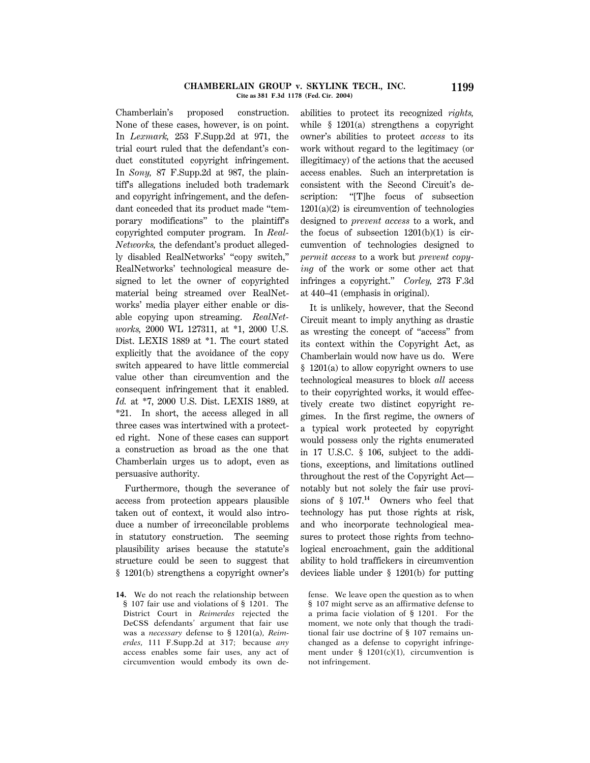#### **CHAMBERLAIN GROUP v. SKYLINK TECH., INC. 1199 Cite as 381 F.3d 1178 (Fed. Cir. 2004)**

Chamberlain's proposed construction. None of these cases, however, is on point. In *Lexmark,* 253 F.Supp.2d at 971, the trial court ruled that the defendant's conduct constituted copyright infringement. In *Sony,* 87 F.Supp.2d at 987, the plaintiff's allegations included both trademark and copyright infringement, and the defendant conceded that its product made ''temporary modifications'' to the plaintiff's copyrighted computer program. In *Real-Networks,* the defendant's product allegedly disabled RealNetworks' ''copy switch,'' RealNetworks' technological measure designed to let the owner of copyrighted material being streamed over RealNetworks' media player either enable or disable copying upon streaming. *RealNetworks,* 2000 WL 127311, at \*1, 2000 U.S. Dist. LEXIS 1889 at \*1. The court stated explicitly that the avoidance of the copy switch appeared to have little commercial value other than circumvention and the consequent infringement that it enabled. *Id.* at \*7, 2000 U.S. Dist. LEXIS 1889, at \*21. In short, the access alleged in all three cases was intertwined with a protected right. None of these cases can support a construction as broad as the one that Chamberlain urges us to adopt, even as persuasive authority.

Furthermore, though the severance of access from protection appears plausible taken out of context, it would also introduce a number of irreconcilable problems in statutory construction. The seeming plausibility arises because the statute's structure could be seen to suggest that § 1201(b) strengthens a copyright owner's

**14.** We do not reach the relationship between § 107 fair use and violations of § 1201. The District Court in *Reimerdes* rejected the DeCSS defendants' argument that fair use was a *necessary* defense to § 1201(a), *Reimerdes,* 111 F.Supp.2d at 317; because *any* access enables some fair uses, any act of circumvention would embody its own deabilities to protect its recognized *rights,* while § 1201(a) strengthens a copyright owner's abilities to protect *access* to its work without regard to the legitimacy (or illegitimacy) of the actions that the accused access enables. Such an interpretation is consistent with the Second Circuit's description: "[T]he focus of subsection  $1201(a)(2)$  is circumvention of technologies designed to *prevent access* to a work, and the focus of subsection  $1201(b)(1)$  is circumvention of technologies designed to *permit access* to a work but *prevent copying* of the work or some other act that infringes a copyright.'' *Corley,* 273 F.3d at 440–41 (emphasis in original).

It is unlikely, however, that the Second Circuit meant to imply anything as drastic as wresting the concept of ''access'' from its context within the Copyright Act, as Chamberlain would now have us do. Were § 1201(a) to allow copyright owners to use technological measures to block *all* access to their copyrighted works, it would effectively create two distinct copyright regimes. In the first regime, the owners of a typical work protected by copyright would possess only the rights enumerated in 17 U.S.C. § 106, subject to the additions, exceptions, and limitations outlined throughout the rest of the Copyright Act notably but not solely the fair use provisions of § 107.**<sup>14</sup>** Owners who feel that technology has put those rights at risk, and who incorporate technological measures to protect those rights from technological encroachment, gain the additional ability to hold traffickers in circumvention devices liable under § 1201(b) for putting

fense. We leave open the question as to when § 107 might serve as an affirmative defense to a prima facie violation of § 1201. For the moment, we note only that though the traditional fair use doctrine of § 107 remains unchanged as a defense to copyright infringement under §  $1201(c)(1)$ , circumvention is not infringement.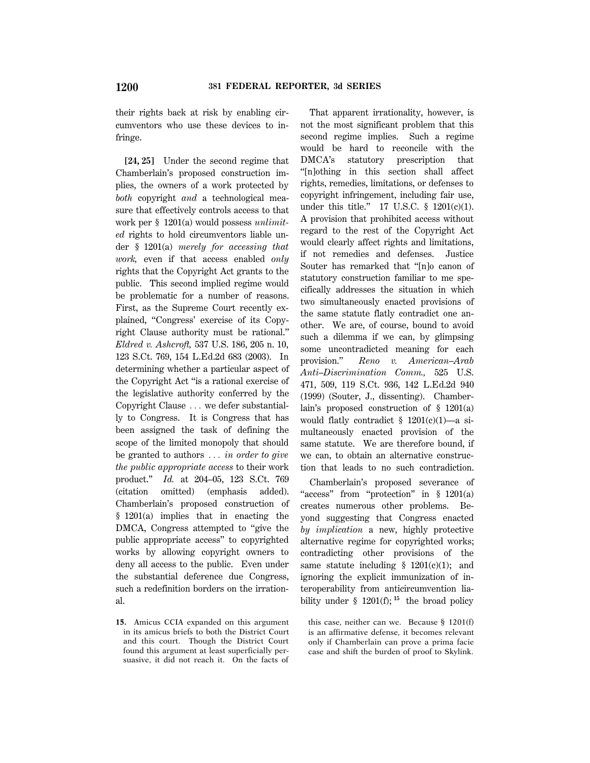their rights back at risk by enabling circumventors who use these devices to infringe.

**[24, 25]** Under the second regime that Chamberlain's proposed construction implies, the owners of a work protected by *both* copyright *and* a technological measure that effectively controls access to that work per § 1201(a) would possess *unlimited* rights to hold circumventors liable under § 1201(a) *merely for accessing that work,* even if that access enabled *only* rights that the Copyright Act grants to the public. This second implied regime would be problematic for a number of reasons. First, as the Supreme Court recently explained, ''Congress' exercise of its Copyright Clause authority must be rational.'' *Eldred v. Ashcroft,* 537 U.S. 186, 205 n. 10, 123 S.Ct. 769, 154 L.Ed.2d 683 (2003). In determining whether a particular aspect of the Copyright Act ''is a rational exercise of the legislative authority conferred by the Copyright Clause  $\ldots$  we defer substantially to Congress. It is Congress that has been assigned the task of defining the scope of the limited monopoly that should be granted to authors  $\ldots$  *in order to give the public appropriate access* to their work product.'' *Id.* at 204–05, 123 S.Ct. 769 (citation omitted) (emphasis added). Chamberlain's proposed construction of § 1201(a) implies that in enacting the DMCA, Congress attempted to ''give the public appropriate access'' to copyrighted works by allowing copyright owners to deny all access to the public. Even under the substantial deference due Congress, such a redefinition borders on the irrational.

**15.** Amicus CCIA expanded on this argument in its amicus briefs to both the District Court and this court. Though the District Court found this argument at least superficially persuasive, it did not reach it. On the facts of

That apparent irrationality, however, is not the most significant problem that this second regime implies. Such a regime would be hard to reconcile with the DMCA's statutory prescription that ''[n]othing in this section shall affect rights, remedies, limitations, or defenses to copyright infringement, including fair use, under this title.'' 17 U.S.C. § 1201(c)(1). A provision that prohibited access without regard to the rest of the Copyright Act would clearly affect rights and limitations, if not remedies and defenses. Justice Souter has remarked that ''[n]o canon of statutory construction familiar to me specifically addresses the situation in which two simultaneously enacted provisions of the same statute flatly contradict one another. We are, of course, bound to avoid such a dilemma if we can, by glimpsing some uncontradicted meaning for each provision.'' *Reno v. American–Arab Anti–Discrimination Comm.,* 525 U.S. 471, 509, 119 S.Ct. 936, 142 L.Ed.2d 940 (1999) (Souter, J., dissenting). Chamberlain's proposed construction of § 1201(a) would flatly contradict  $\S$  1201(c)(1)—a simultaneously enacted provision of the same statute. We are therefore bound, if we can, to obtain an alternative construction that leads to no such contradiction.

Chamberlain's proposed severance of " $access$ " from "protection" in § 1201(a) creates numerous other problems. Beyond suggesting that Congress enacted *by implication* a new, highly protective alternative regime for copyrighted works; contradicting other provisions of the same statute including  $§$  1201(c)(1); and ignoring the explicit immunization of interoperability from anticircumvention liability under  $\S$  1201(f); <sup>15</sup> the broad policy

this case, neither can we. Because § 1201(f) is an affirmative defense, it becomes relevant only if Chamberlain can prove a prima facie case and shift the burden of proof to Skylink.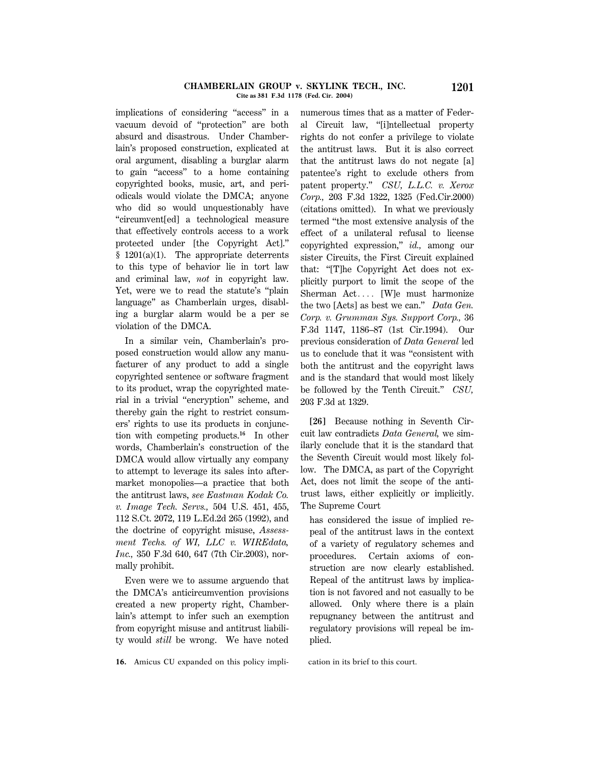#### **CHAMBERLAIN GROUP v. SKYLINK TECH., INC. 1201 Cite as 381 F.3d 1178 (Fed. Cir. 2004)**

implications of considering ''access'' in a vacuum devoid of ''protection'' are both absurd and disastrous. Under Chamberlain's proposed construction, explicated at oral argument, disabling a burglar alarm to gain ''access'' to a home containing copyrighted books, music, art, and periodicals would violate the DMCA; anyone who did so would unquestionably have ''circumvent[ed] a technological measure that effectively controls access to a work protected under [the Copyright Act].''  $§$  1201(a)(1). The appropriate deterrents to this type of behavior lie in tort law and criminal law, *not* in copyright law. Yet, were we to read the statute's ''plain language'' as Chamberlain urges, disabling a burglar alarm would be a per se violation of the DMCA.

In a similar vein, Chamberlain's proposed construction would allow any manufacturer of any product to add a single copyrighted sentence or software fragment to its product, wrap the copyrighted material in a trivial "encryption" scheme, and thereby gain the right to restrict consumers' rights to use its products in conjunction with competing products.**<sup>16</sup>** In other words, Chamberlain's construction of the DMCA would allow virtually any company to attempt to leverage its sales into aftermarket monopolies—a practice that both the antitrust laws, *see Eastman Kodak Co. v. Image Tech. Servs.,* 504 U.S. 451, 455, 112 S.Ct. 2072, 119 L.Ed.2d 265 (1992), and the doctrine of copyright misuse, *Assessment Techs. of WI, LLC v. WIREdata, Inc.,* 350 F.3d 640, 647 (7th Cir.2003), normally prohibit.

Even were we to assume arguendo that the DMCA's anticircumvention provisions created a new property right, Chamberlain's attempt to infer such an exemption from copyright misuse and antitrust liability would *still* be wrong. We have noted numerous times that as a matter of Federal Circuit law, ''[i]ntellectual property rights do not confer a privilege to violate the antitrust laws. But it is also correct that the antitrust laws do not negate [a] patentee's right to exclude others from patent property.'' *CSU, L.L.C. v. Xerox Corp.,* 203 F.3d 1322, 1325 (Fed.Cir.2000) (citations omitted). In what we previously termed ''the most extensive analysis of the effect of a unilateral refusal to license copyrighted expression,'' *id.,* among our sister Circuits, the First Circuit explained that: "[T]he Copyright Act does not explicitly purport to limit the scope of the Sherman Act.... [W]e must harmonize the two [Acts] as best we can.'' *Data Gen. Corp. v. Grumman Sys. Support Corp.,* 36 F.3d 1147, 1186–87 (1st Cir.1994). Our previous consideration of *Data General* led us to conclude that it was ''consistent with both the antitrust and the copyright laws and is the standard that would most likely be followed by the Tenth Circuit.'' *CSU,* 203 F.3d at 1329.

**[26]** Because nothing in Seventh Circuit law contradicts *Data General,* we similarly conclude that it is the standard that the Seventh Circuit would most likely follow. The DMCA, as part of the Copyright Act, does not limit the scope of the antitrust laws, either explicitly or implicitly. The Supreme Court

has considered the issue of implied repeal of the antitrust laws in the context of a variety of regulatory schemes and procedures. Certain axioms of construction are now clearly established. Repeal of the antitrust laws by implication is not favored and not casually to be allowed. Only where there is a plain repugnancy between the antitrust and regulatory provisions will repeal be implied.

**16.** Amicus CU expanded on this policy impli- cation in its brief to this court.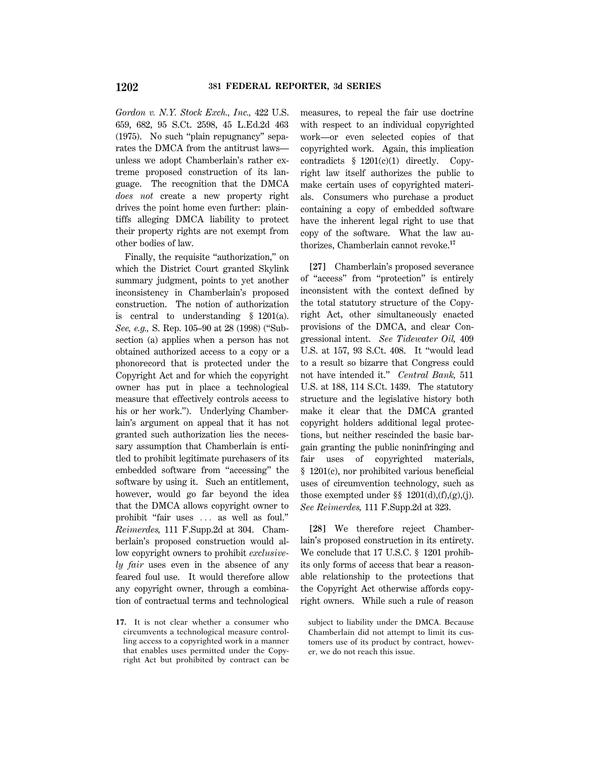*Gordon v. N.Y. Stock Exch., Inc.,* 422 U.S. 659, 682, 95 S.Ct. 2598, 45 L.Ed.2d 463 (1975). No such ''plain repugnancy'' separates the DMCA from the antitrust laws unless we adopt Chamberlain's rather extreme proposed construction of its language. The recognition that the DMCA *does not* create a new property right drives the point home even further: plaintiffs alleging DMCA liability to protect their property rights are not exempt from other bodies of law.

Finally, the requisite "authorization," on which the District Court granted Skylink summary judgment, points to yet another inconsistency in Chamberlain's proposed construction. The notion of authorization is central to understanding § 1201(a). *See, e.g.,* S. Rep. 105–90 at 28 (1998) (''Subsection (a) applies when a person has not obtained authorized access to a copy or a phonorecord that is protected under the Copyright Act and for which the copyright owner has put in place a technological measure that effectively controls access to his or her work.''). Underlying Chamberlain's argument on appeal that it has not granted such authorization lies the necessary assumption that Chamberlain is entitled to prohibit legitimate purchasers of its embedded software from ''accessing'' the software by using it. Such an entitlement, however, would go far beyond the idea that the DMCA allows copyright owner to prohibit "fair uses ... as well as foul." *Reimerdes,* 111 F.Supp.2d at 304. Chamberlain's proposed construction would allow copyright owners to prohibit *exclusively fair* uses even in the absence of any feared foul use. It would therefore allow any copyright owner, through a combination of contractual terms and technological

**17.** It is not clear whether a consumer who circumvents a technological measure controlling access to a copyrighted work in a manner that enables uses permitted under the Copyright Act but prohibited by contract can be measures, to repeal the fair use doctrine with respect to an individual copyrighted work—or even selected copies of that copyrighted work. Again, this implication contradicts  $§$  1201(c)(1) directly. Copyright law itself authorizes the public to make certain uses of copyrighted materials. Consumers who purchase a product containing a copy of embedded software have the inherent legal right to use that copy of the software. What the law authorizes, Chamberlain cannot revoke.**<sup>17</sup>**

**[27]** Chamberlain's proposed severance of ''access'' from ''protection'' is entirely inconsistent with the context defined by the total statutory structure of the Copyright Act, other simultaneously enacted provisions of the DMCA, and clear Congressional intent. *See Tidewater Oil,* 409 U.S. at 157, 93 S.Ct. 408. It ''would lead to a result so bizarre that Congress could not have intended it.'' *Central Bank,* 511 U.S. at 188, 114 S.Ct. 1439. The statutory structure and the legislative history both make it clear that the DMCA granted copyright holders additional legal protections, but neither rescinded the basic bargain granting the public noninfringing and fair uses of copyrighted materials, § 1201(c), nor prohibited various beneficial uses of circumvention technology, such as those exempted under  $\S\S 1201(d),(f),(g),(j).$ *See Reimerdes,* 111 F.Supp.2d at 323.

**[28]** We therefore reject Chamberlain's proposed construction in its entirety. We conclude that 17 U.S.C. § 1201 prohibits only forms of access that bear a reasonable relationship to the protections that the Copyright Act otherwise affords copyright owners. While such a rule of reason

subject to liability under the DMCA. Because Chamberlain did not attempt to limit its customers use of its product by contract, however, we do not reach this issue.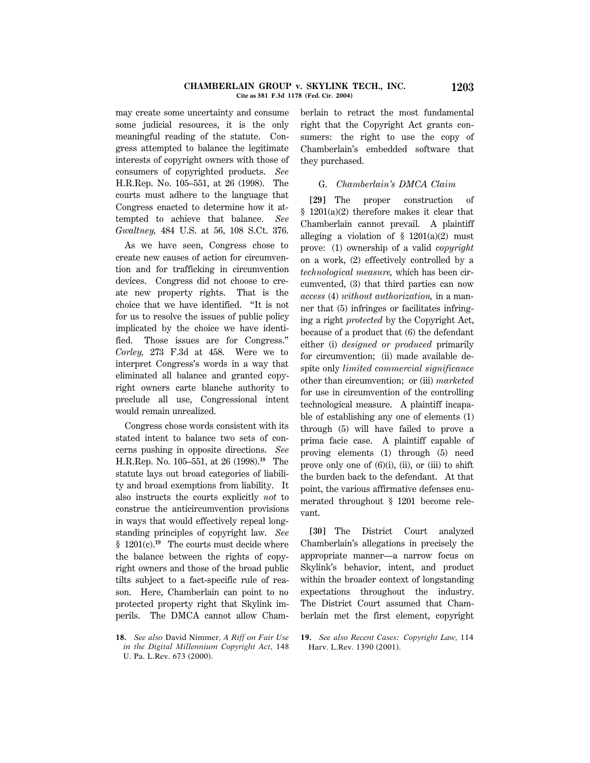### **CHAMBERLAIN GROUP v. SKYLINK TECH., INC. 1203 Cite as 381 F.3d 1178 (Fed. Cir. 2004)**

may create some uncertainty and consume some judicial resources, it is the only meaningful reading of the statute. Congress attempted to balance the legitimate interests of copyright owners with those of consumers of copyrighted products. *See* H.R.Rep. No. 105–551, at 26 (1998). The courts must adhere to the language that Congress enacted to determine how it attempted to achieve that balance. *See Gwaltney,* 484 U.S. at 56, 108 S.Ct. 376.

As we have seen, Congress chose to create new causes of action for circumvention and for trafficking in circumvention devices. Congress did not choose to create new property rights. That is the choice that we have identified. ''It is not for us to resolve the issues of public policy implicated by the choice we have identified. Those issues are for Congress.'' *Corley,* 273 F.3d at 458. Were we to interpret Congress's words in a way that eliminated all balance and granted copyright owners carte blanche authority to preclude all use, Congressional intent would remain unrealized.

Congress chose words consistent with its stated intent to balance two sets of concerns pushing in opposite directions. *See* H.R.Rep. No. 105–551, at 26 (1998).**<sup>18</sup>** The statute lays out broad categories of liability and broad exemptions from liability. It also instructs the courts explicitly *not* to construe the anticircumvention provisions in ways that would effectively repeal longstanding principles of copyright law. *See* § 1201(c).<sup>19</sup> The courts must decide where the balance between the rights of copyright owners and those of the broad public tilts subject to a fact-specific rule of reason. Here, Chamberlain can point to no protected property right that Skylink imperils. The DMCA cannot allow Chamberlain to retract the most fundamental right that the Copyright Act grants consumers: the right to use the copy of Chamberlain's embedded software that they purchased.

### G. *Chamberlain's DMCA Claim*

**[29]** The proper construction of § 1201(a)(2) therefore makes it clear that Chamberlain cannot prevail. A plaintiff alleging a violation of  $\S$  1201(a)(2) must prove: (1) ownership of a valid *copyright* on a work, (2) effectively controlled by a *technological measure,* which has been circumvented, (3) that third parties can now *access* (4) *without authorization,* in a manner that (5) infringes or facilitates infringing a right *protected* by the Copyright Act, because of a product that (6) the defendant either (i) *designed or produced* primarily for circumvention; (ii) made available despite only *limited commercial significance* other than circumvention; or (iii) *marketed* for use in circumvention of the controlling technological measure. A plaintiff incapable of establishing any one of elements (1) through (5) will have failed to prove a prima facie case. A plaintiff capable of proving elements (1) through (5) need prove only one of  $(6)(i)$ ,  $(ii)$ , or  $(iii)$  to shift the burden back to the defendant. At that point, the various affirmative defenses enumerated throughout § 1201 become relevant.

**[30]** The District Court analyzed Chamberlain's allegations in precisely the appropriate manner—a narrow focus on Skylink's behavior, intent, and product within the broader context of longstanding expectations throughout the industry. The District Court assumed that Chamberlain met the first element, copyright

**<sup>18.</sup>** *See also* David Nimmer, *A Riff on Fair Use in the Digital Millennium Copyright Act,* 148 U. Pa. L.Rev. 673 (2000).

**<sup>19.</sup>** *See also Recent Cases: Copyright Law,* 114 Harv. L.Rev. 1390 (2001).